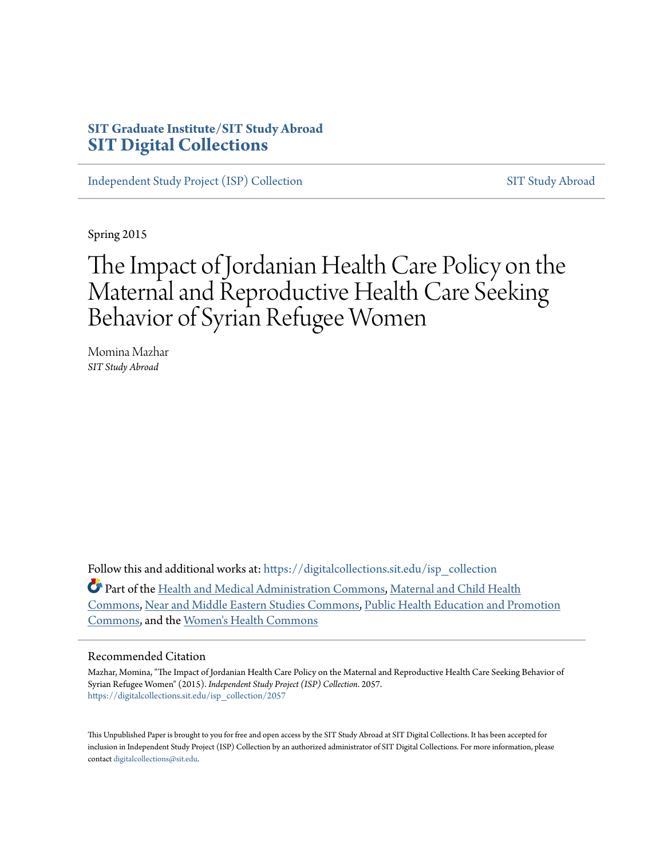### **SIT Graduate Institute/SIT Study Abroad [SIT Digital Collections](https://digitalcollections.sit.edu?utm_source=digitalcollections.sit.edu%2Fisp_collection%2F2057&utm_medium=PDF&utm_campaign=PDFCoverPages)**

[Independent Study Project \(ISP\) Collection](https://digitalcollections.sit.edu/isp_collection?utm_source=digitalcollections.sit.edu%2Fisp_collection%2F2057&utm_medium=PDF&utm_campaign=PDFCoverPages) [SIT Study Abroad](https://digitalcollections.sit.edu/study_abroad?utm_source=digitalcollections.sit.edu%2Fisp_collection%2F2057&utm_medium=PDF&utm_campaign=PDFCoverPages)

Spring 2015

# The Impact of Jordanian Health Care Policy on the Maternal and Reproductive Health Care Seeking Behavior of Syrian Refugee Women

Momina Mazhar *SIT Study Abroad*

Follow this and additional works at: [https://digitalcollections.sit.edu/isp\\_collection](https://digitalcollections.sit.edu/isp_collection?utm_source=digitalcollections.sit.edu%2Fisp_collection%2F2057&utm_medium=PDF&utm_campaign=PDFCoverPages)

Part of the [Health and Medical Administration Commons](http://network.bepress.com/hgg/discipline/663?utm_source=digitalcollections.sit.edu%2Fisp_collection%2F2057&utm_medium=PDF&utm_campaign=PDFCoverPages), [Maternal and Child Health](http://network.bepress.com/hgg/discipline/745?utm_source=digitalcollections.sit.edu%2Fisp_collection%2F2057&utm_medium=PDF&utm_campaign=PDFCoverPages) [Commons,](http://network.bepress.com/hgg/discipline/745?utm_source=digitalcollections.sit.edu%2Fisp_collection%2F2057&utm_medium=PDF&utm_campaign=PDFCoverPages) [Near and Middle Eastern Studies Commons](http://network.bepress.com/hgg/discipline/1308?utm_source=digitalcollections.sit.edu%2Fisp_collection%2F2057&utm_medium=PDF&utm_campaign=PDFCoverPages), [Public Health Education and Promotion](http://network.bepress.com/hgg/discipline/743?utm_source=digitalcollections.sit.edu%2Fisp_collection%2F2057&utm_medium=PDF&utm_campaign=PDFCoverPages) [Commons,](http://network.bepress.com/hgg/discipline/743?utm_source=digitalcollections.sit.edu%2Fisp_collection%2F2057&utm_medium=PDF&utm_campaign=PDFCoverPages) and the [Women's Health Commons](http://network.bepress.com/hgg/discipline/1241?utm_source=digitalcollections.sit.edu%2Fisp_collection%2F2057&utm_medium=PDF&utm_campaign=PDFCoverPages)

#### Recommended Citation

Mazhar, Momina, "The Impact of Jordanian Health Care Policy on the Maternal and Reproductive Health Care Seeking Behavior of Syrian Refugee Women" (2015). *Independent Study Project (ISP) Collection*. 2057. [https://digitalcollections.sit.edu/isp\\_collection/2057](https://digitalcollections.sit.edu/isp_collection/2057?utm_source=digitalcollections.sit.edu%2Fisp_collection%2F2057&utm_medium=PDF&utm_campaign=PDFCoverPages)

This Unpublished Paper is brought to you for free and open access by the SIT Study Abroad at SIT Digital Collections. It has been accepted for inclusion in Independent Study Project (ISP) Collection by an authorized administrator of SIT Digital Collections. For more information, please contact [digitalcollections@sit.edu](mailto:digitalcollections@sit.edu).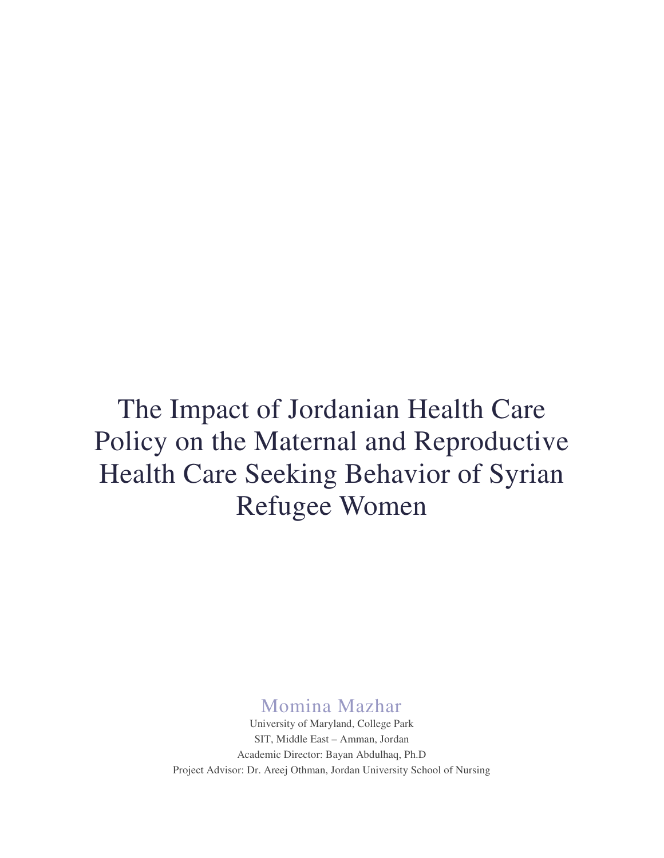# The Impact of Jordanian Health Care Policy on the Maternal and Reproductive Health Care Seeking Behavior of Syrian Refugee Women

Momina Mazhar

University of Maryland, College Park SIT, Middle East – Amman, Jordan Academic Director: Bayan Abdulhaq, Ph.D Project Advisor: Dr. Areej Othman, Jordan University School of Nursing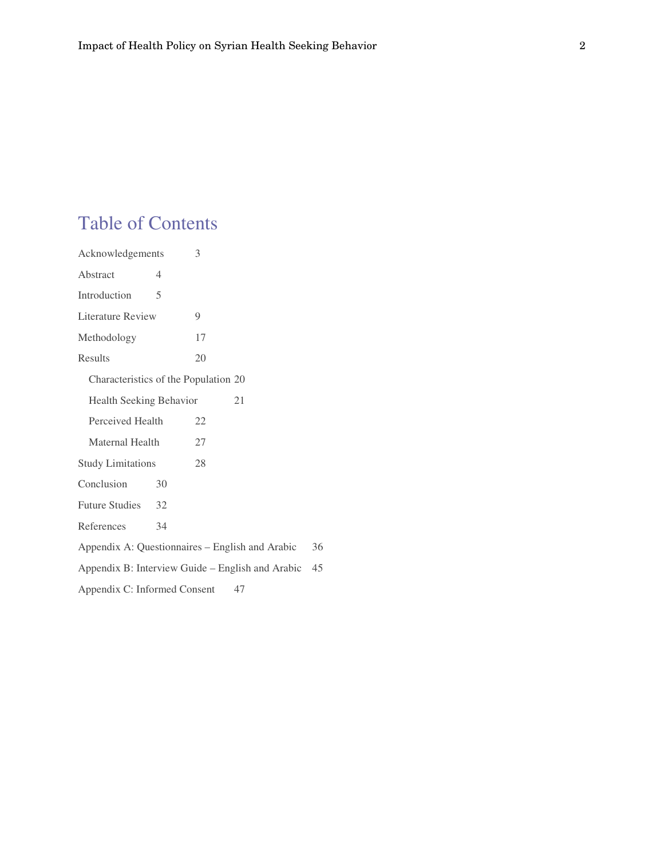## Table of Contents

| Acknowledgements                                       | 3                                               |    |  |  |
|--------------------------------------------------------|-------------------------------------------------|----|--|--|
| Abstract<br>4                                          |                                                 |    |  |  |
| Introduction<br>5                                      |                                                 |    |  |  |
| Literature Review                                      | 9                                               |    |  |  |
| Methodology                                            | 17                                              |    |  |  |
| <b>Results</b>                                         | 20                                              |    |  |  |
| Characteristics of the Population 20                   |                                                 |    |  |  |
| Health Seeking Behavior                                | 21                                              |    |  |  |
| Perceived Health                                       | 22                                              |    |  |  |
| Maternal Health                                        | 27                                              |    |  |  |
| <b>Study Limitations</b>                               | 28                                              |    |  |  |
| Conclusion<br>30                                       |                                                 |    |  |  |
| <b>Future Studies</b><br>32                            |                                                 |    |  |  |
| References<br>34                                       |                                                 |    |  |  |
|                                                        | Appendix A: Questionnaires - English and Arabic | 36 |  |  |
| Appendix B: Interview Guide – English and Arabic<br>45 |                                                 |    |  |  |
| Appendix C: Informed Consent                           | 47                                              |    |  |  |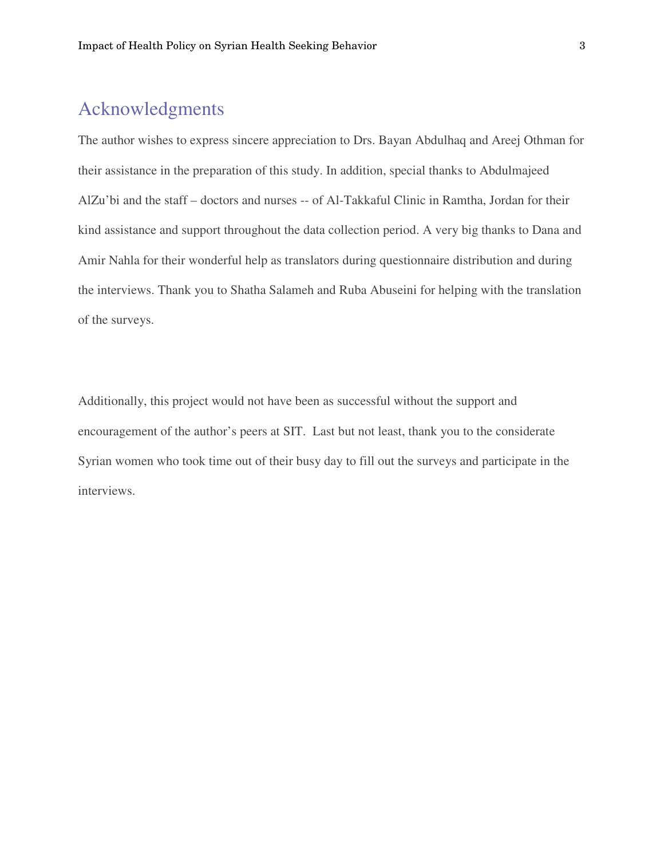### Acknowledgments

The author wishes to express sincere appreciation to Drs. Bayan Abdulhaq and Areej Othman for their assistance in the preparation of this study. In addition, special thanks to Abdulmajeed AlZu'bi and the staff – doctors and nurses -- of Al-Takkaful Clinic in Ramtha, Jordan for their kind assistance and support throughout the data collection period. A very big thanks to Dana and Amir Nahla for their wonderful help as translators during questionnaire distribution and during the interviews. Thank you to Shatha Salameh and Ruba Abuseini for helping with the translation of the surveys.

Additionally, this project would not have been as successful without the support and encouragement of the author's peers at SIT. Last but not least, thank you to the considerate Syrian women who took time out of their busy day to fill out the surveys and participate in the interviews.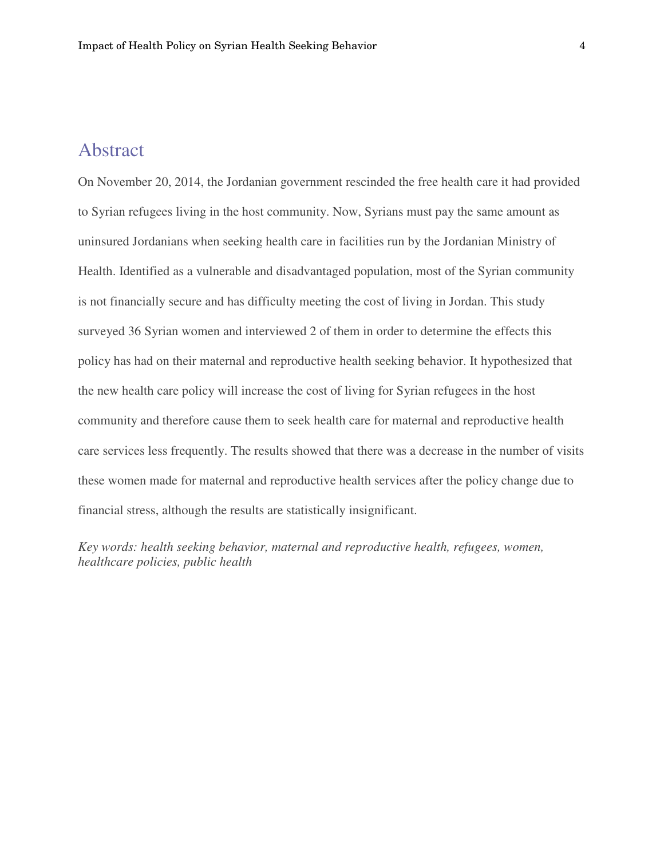### Abstract

On November 20, 2014, the Jordanian government rescinded the free health care it had provided to Syrian refugees living in the host community. Now, Syrians must pay the same amount as uninsured Jordanians when seeking health care in facilities run by the Jordanian Ministry of Health. Identified as a vulnerable and disadvantaged population, most of the Syrian community is not financially secure and has difficulty meeting the cost of living in Jordan. This study surveyed 36 Syrian women and interviewed 2 of them in order to determine the effects this policy has had on their maternal and reproductive health seeking behavior. It hypothesized that the new health care policy will increase the cost of living for Syrian refugees in the host community and therefore cause them to seek health care for maternal and reproductive health care services less frequently. The results showed that there was a decrease in the number of visits these women made for maternal and reproductive health services after the policy change due to financial stress, although the results are statistically insignificant.

*Key words: health seeking behavior, maternal and reproductive health, refugees, women, healthcare policies, public health*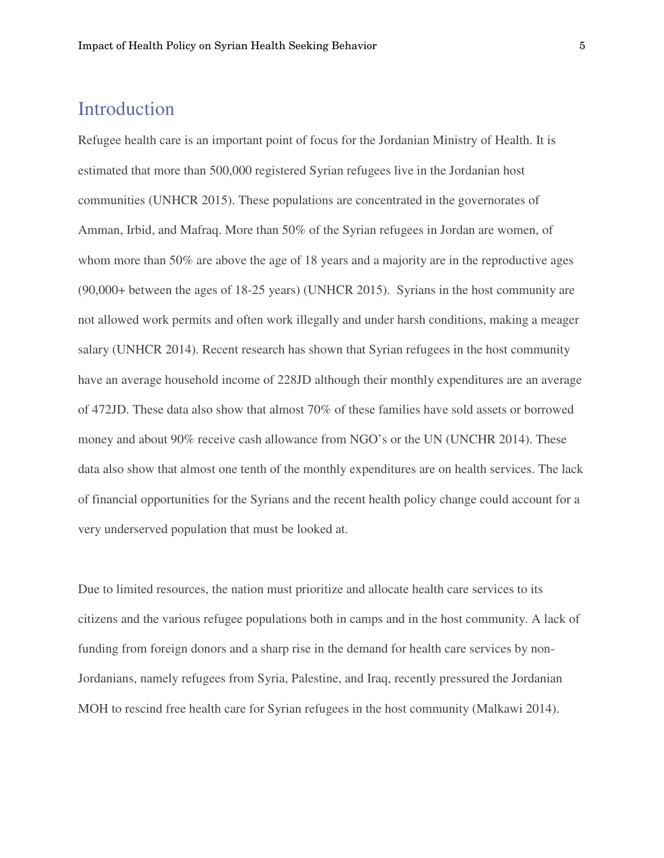### Introduction

Refugee health care is an important point of focus for the Jordanian Ministry of Health. It is estimated that more than 500,000 registered Syrian refugees live in the Jordanian host communities (UNHCR 2015). These populations are concentrated in the governorates of Amman, Irbid, and Mafraq. More than 50% of the Syrian refugees in Jordan are women, of whom more than 50% are above the age of 18 years and a majority are in the reproductive ages (90,000+ between the ages of 18-25 years) (UNHCR 2015). Syrians in the host community are not allowed work permits and often work illegally and under harsh conditions, making a meager salary (UNHCR 2014). Recent research has shown that Syrian refugees in the host community have an average household income of 228JD although their monthly expenditures are an average of 472JD. These data also show that almost 70% of these families have sold assets or borrowed money and about 90% receive cash allowance from NGO's or the UN (UNCHR 2014). These data also show that almost one tenth of the monthly expenditures are on health services. The lack of financial opportunities for the Syrians and the recent health policy change could account for a very underserved population that must be looked at.

Due to limited resources, the nation must prioritize and allocate health care services to its citizens and the various refugee populations both in camps and in the host community. A lack of funding from foreign donors and a sharp rise in the demand for health care services by non-Jordanians, namely refugees from Syria, Palestine, and Iraq, recently pressured the Jordanian MOH to rescind free health care for Syrian refugees in the host community (Malkawi 2014).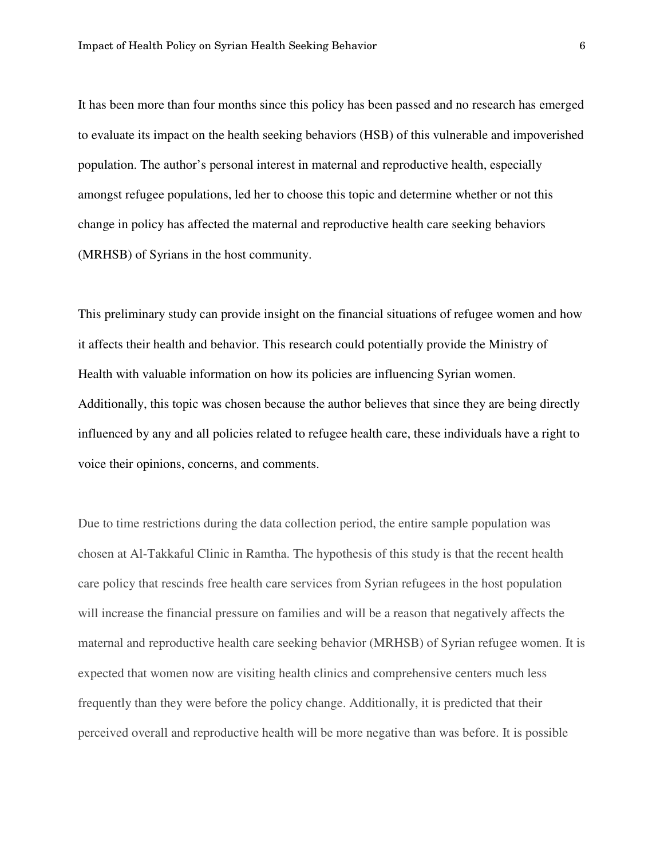It has been more than four months since this policy has been passed and no research has emerged to evaluate its impact on the health seeking behaviors (HSB) of this vulnerable and impoverished population. The author's personal interest in maternal and reproductive health, especially amongst refugee populations, led her to choose this topic and determine whether or not this change in policy has affected the maternal and reproductive health care seeking behaviors (MRHSB) of Syrians in the host community.

This preliminary study can provide insight on the financial situations of refugee women and how it affects their health and behavior. This research could potentially provide the Ministry of Health with valuable information on how its policies are influencing Syrian women. Additionally, this topic was chosen because the author believes that since they are being directly influenced by any and all policies related to refugee health care, these individuals have a right to voice their opinions, concerns, and comments.

Due to time restrictions during the data collection period, the entire sample population was chosen at Al-Takkaful Clinic in Ramtha. The hypothesis of this study is that the recent health care policy that rescinds free health care services from Syrian refugees in the host population will increase the financial pressure on families and will be a reason that negatively affects the maternal and reproductive health care seeking behavior (MRHSB) of Syrian refugee women. It is expected that women now are visiting health clinics and comprehensive centers much less frequently than they were before the policy change. Additionally, it is predicted that their perceived overall and reproductive health will be more negative than was before. It is possible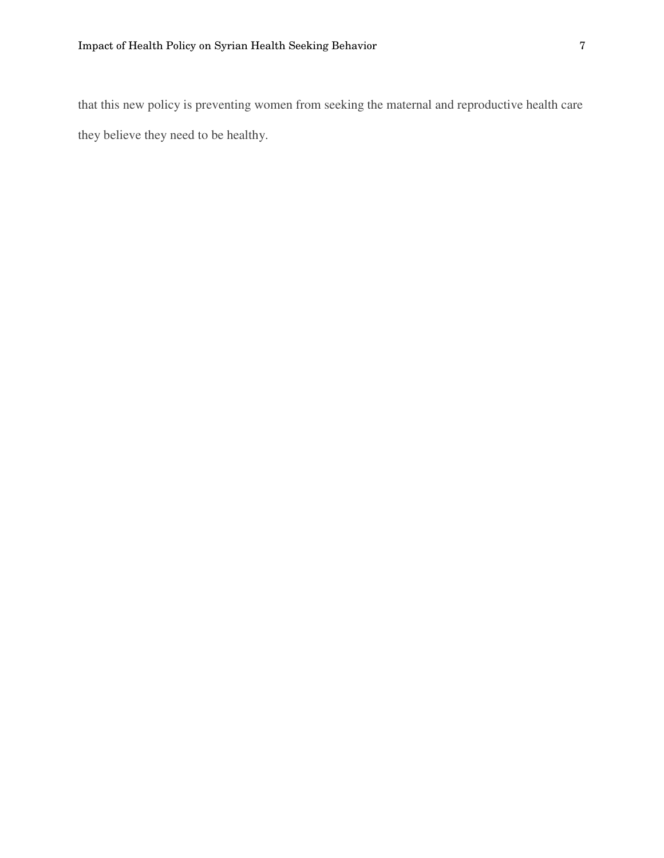that this new policy is preventing women from seeking the maternal and reproductive health care they believe they need to be healthy.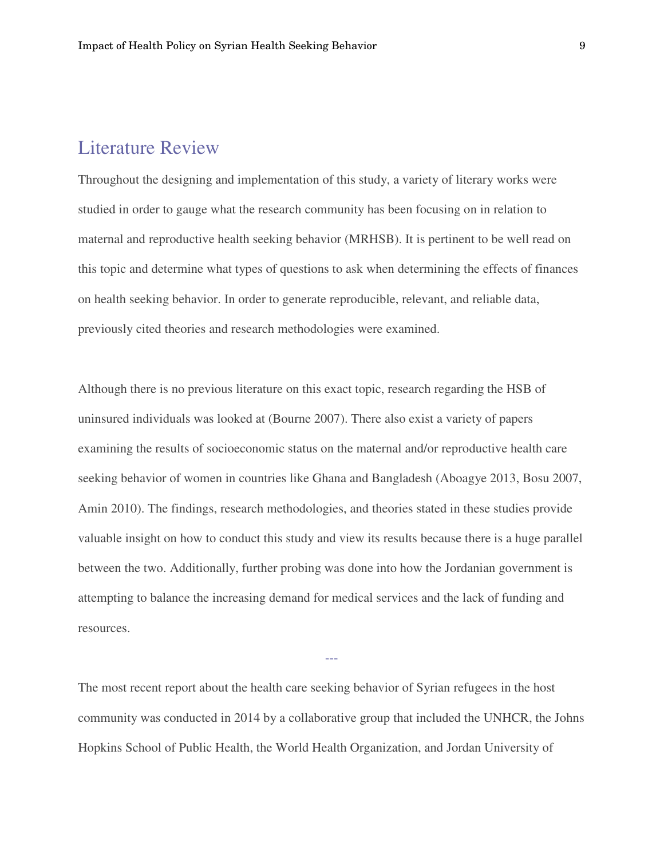### Literature Review

Throughout the designing and implementation of this study, a variety of literary works were studied in order to gauge what the research community has been focusing on in relation to maternal and reproductive health seeking behavior (MRHSB). It is pertinent to be well read on this topic and determine what types of questions to ask when determining the effects of finances on health seeking behavior. In order to generate reproducible, relevant, and reliable data, previously cited theories and research methodologies were examined.

Although there is no previous literature on this exact topic, research regarding the HSB of uninsured individuals was looked at (Bourne 2007). There also exist a variety of papers examining the results of socioeconomic status on the maternal and/or reproductive health care seeking behavior of women in countries like Ghana and Bangladesh (Aboagye 2013, Bosu 2007, Amin 2010). The findings, research methodologies, and theories stated in these studies provide valuable insight on how to conduct this study and view its results because there is a huge parallel between the two. Additionally, further probing was done into how the Jordanian government is attempting to balance the increasing demand for medical services and the lack of funding and resources.

The most recent report about the health care seeking behavior of Syrian refugees in the host community was conducted in 2014 by a collaborative group that included the UNHCR, the Johns Hopkins School of Public Health, the World Health Organization, and Jordan University of

---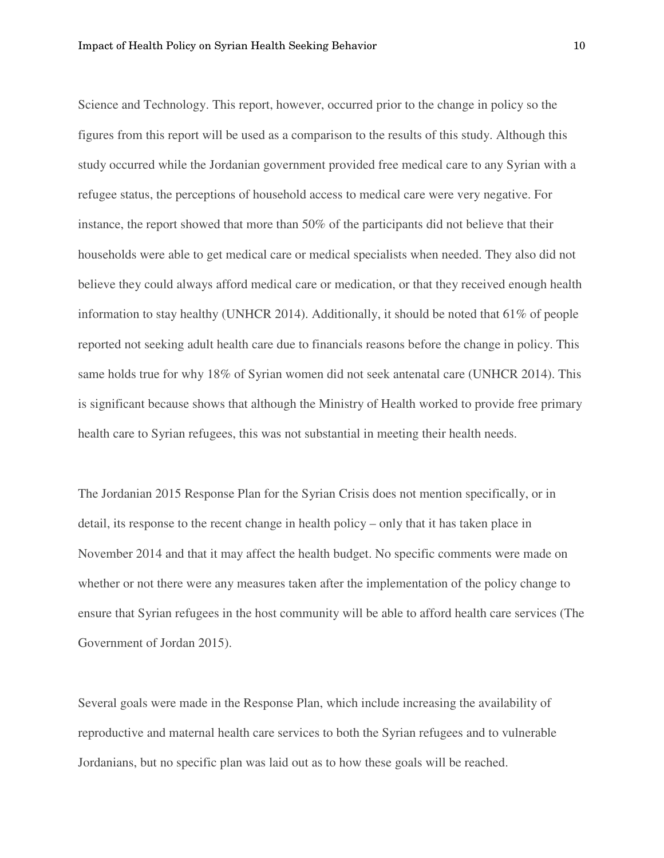Science and Technology. This report, however, occurred prior to the change in policy so the figures from this report will be used as a comparison to the results of this study. Although this study occurred while the Jordanian government provided free medical care to any Syrian with a refugee status, the perceptions of household access to medical care were very negative. For instance, the report showed that more than 50% of the participants did not believe that their households were able to get medical care or medical specialists when needed. They also did not believe they could always afford medical care or medication, or that they received enough health information to stay healthy (UNHCR 2014). Additionally, it should be noted that 61% of people reported not seeking adult health care due to financials reasons before the change in policy. This same holds true for why 18% of Syrian women did not seek antenatal care (UNHCR 2014). This is significant because shows that although the Ministry of Health worked to provide free primary health care to Syrian refugees, this was not substantial in meeting their health needs.

The Jordanian 2015 Response Plan for the Syrian Crisis does not mention specifically, or in detail, its response to the recent change in health policy – only that it has taken place in November 2014 and that it may affect the health budget. No specific comments were made on whether or not there were any measures taken after the implementation of the policy change to ensure that Syrian refugees in the host community will be able to afford health care services (The Government of Jordan 2015).

Several goals were made in the Response Plan, which include increasing the availability of reproductive and maternal health care services to both the Syrian refugees and to vulnerable Jordanians, but no specific plan was laid out as to how these goals will be reached.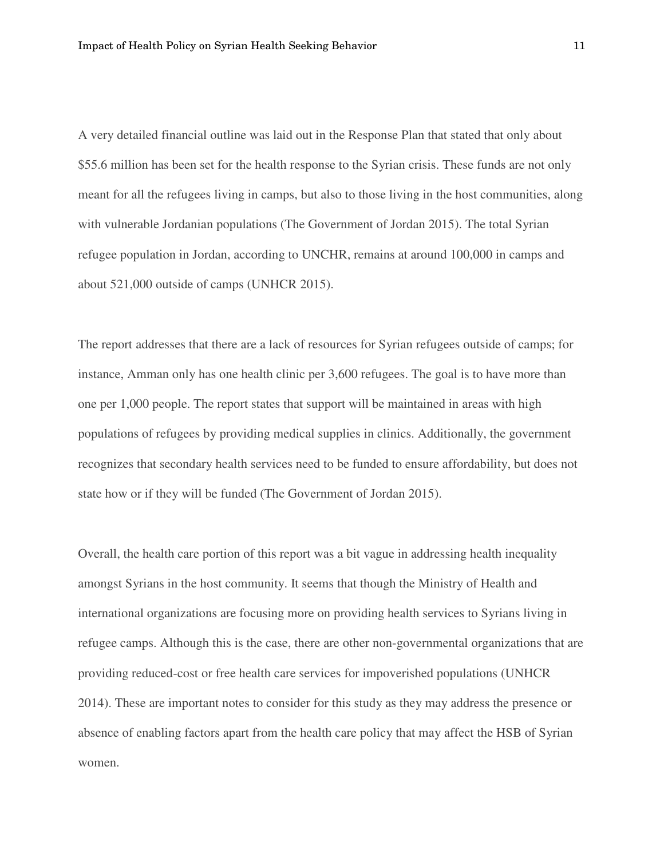A very detailed financial outline was laid out in the Response Plan that stated that only about \$55.6 million has been set for the health response to the Syrian crisis. These funds are not only meant for all the refugees living in camps, but also to those living in the host communities, along with vulnerable Jordanian populations (The Government of Jordan 2015). The total Syrian refugee population in Jordan, according to UNCHR, remains at around 100,000 in camps and about 521,000 outside of camps (UNHCR 2015).

The report addresses that there are a lack of resources for Syrian refugees outside of camps; for instance, Amman only has one health clinic per 3,600 refugees. The goal is to have more than one per 1,000 people. The report states that support will be maintained in areas with high populations of refugees by providing medical supplies in clinics. Additionally, the government recognizes that secondary health services need to be funded to ensure affordability, but does not state how or if they will be funded (The Government of Jordan 2015).

Overall, the health care portion of this report was a bit vague in addressing health inequality amongst Syrians in the host community. It seems that though the Ministry of Health and international organizations are focusing more on providing health services to Syrians living in refugee camps. Although this is the case, there are other non-governmental organizations that are providing reduced-cost or free health care services for impoverished populations (UNHCR 2014). These are important notes to consider for this study as they may address the presence or absence of enabling factors apart from the health care policy that may affect the HSB of Syrian women.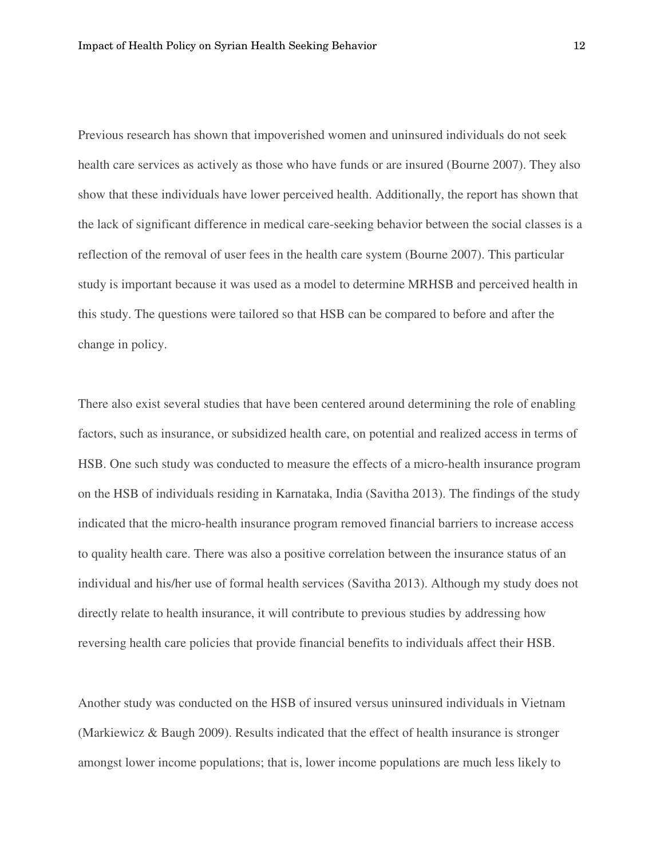Previous research has shown that impoverished women and uninsured individuals do not seek health care services as actively as those who have funds or are insured (Bourne 2007). They also show that these individuals have lower perceived health. Additionally, the report has shown that the lack of significant difference in medical care-seeking behavior between the social classes is a reflection of the removal of user fees in the health care system (Bourne 2007). This particular study is important because it was used as a model to determine MRHSB and perceived health in this study. The questions were tailored so that HSB can be compared to before and after the change in policy.

There also exist several studies that have been centered around determining the role of enabling factors, such as insurance, or subsidized health care, on potential and realized access in terms of HSB. One such study was conducted to measure the effects of a micro-health insurance program on the HSB of individuals residing in Karnataka, India (Savitha 2013). The findings of the study indicated that the micro-health insurance program removed financial barriers to increase access to quality health care. There was also a positive correlation between the insurance status of an individual and his/her use of formal health services (Savitha 2013). Although my study does not directly relate to health insurance, it will contribute to previous studies by addressing how reversing health care policies that provide financial benefits to individuals affect their HSB.

Another study was conducted on the HSB of insured versus uninsured individuals in Vietnam (Markiewicz & Baugh 2009). Results indicated that the effect of health insurance is stronger amongst lower income populations; that is, lower income populations are much less likely to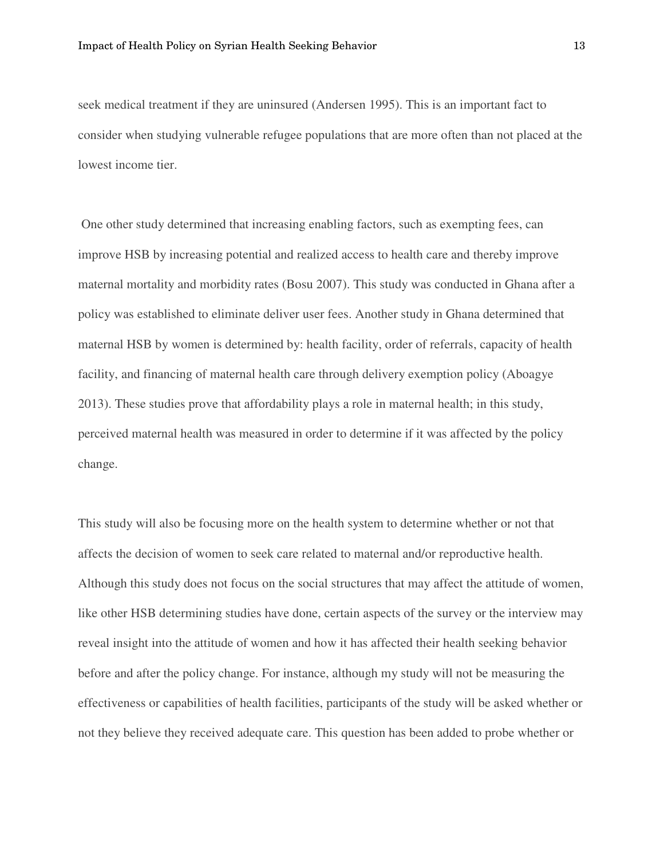seek medical treatment if they are uninsured (Andersen 1995). This is an important fact to consider when studying vulnerable refugee populations that are more often than not placed at the lowest income tier.

 One other study determined that increasing enabling factors, such as exempting fees, can improve HSB by increasing potential and realized access to health care and thereby improve maternal mortality and morbidity rates (Bosu 2007). This study was conducted in Ghana after a policy was established to eliminate deliver user fees. Another study in Ghana determined that maternal HSB by women is determined by: health facility, order of referrals, capacity of health facility, and financing of maternal health care through delivery exemption policy (Aboagye 2013). These studies prove that affordability plays a role in maternal health; in this study, perceived maternal health was measured in order to determine if it was affected by the policy change.

This study will also be focusing more on the health system to determine whether or not that affects the decision of women to seek care related to maternal and/or reproductive health. Although this study does not focus on the social structures that may affect the attitude of women, like other HSB determining studies have done, certain aspects of the survey or the interview may reveal insight into the attitude of women and how it has affected their health seeking behavior before and after the policy change. For instance, although my study will not be measuring the effectiveness or capabilities of health facilities, participants of the study will be asked whether or not they believe they received adequate care. This question has been added to probe whether or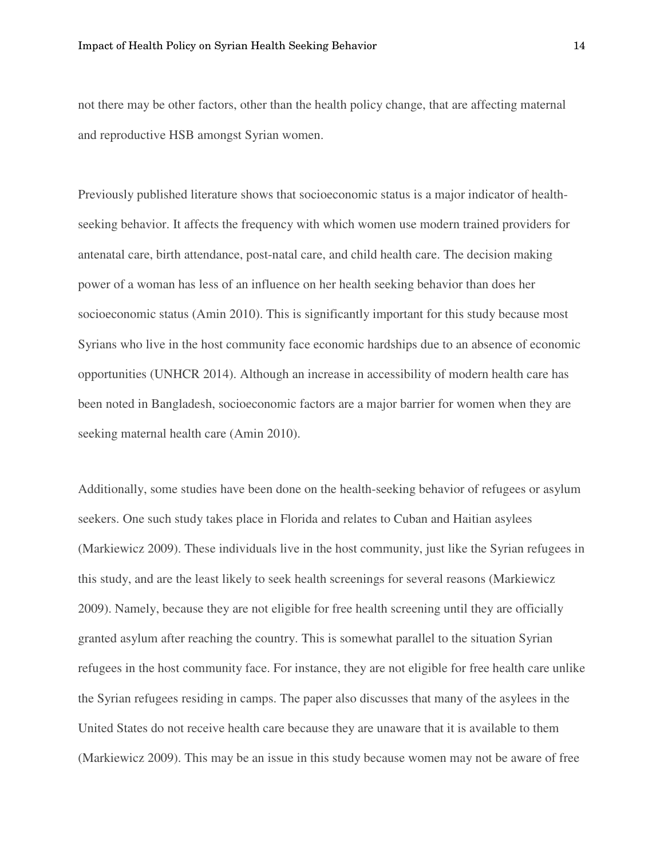not there may be other factors, other than the health policy change, that are affecting maternal and reproductive HSB amongst Syrian women.

Previously published literature shows that socioeconomic status is a major indicator of healthseeking behavior. It affects the frequency with which women use modern trained providers for antenatal care, birth attendance, post-natal care, and child health care. The decision making power of a woman has less of an influence on her health seeking behavior than does her socioeconomic status (Amin 2010). This is significantly important for this study because most Syrians who live in the host community face economic hardships due to an absence of economic opportunities (UNHCR 2014). Although an increase in accessibility of modern health care has been noted in Bangladesh, socioeconomic factors are a major barrier for women when they are seeking maternal health care (Amin 2010).

Additionally, some studies have been done on the health-seeking behavior of refugees or asylum seekers. One such study takes place in Florida and relates to Cuban and Haitian asylees (Markiewicz 2009). These individuals live in the host community, just like the Syrian refugees in this study, and are the least likely to seek health screenings for several reasons (Markiewicz 2009). Namely, because they are not eligible for free health screening until they are officially granted asylum after reaching the country. This is somewhat parallel to the situation Syrian refugees in the host community face. For instance, they are not eligible for free health care unlike the Syrian refugees residing in camps. The paper also discusses that many of the asylees in the United States do not receive health care because they are unaware that it is available to them (Markiewicz 2009). This may be an issue in this study because women may not be aware of free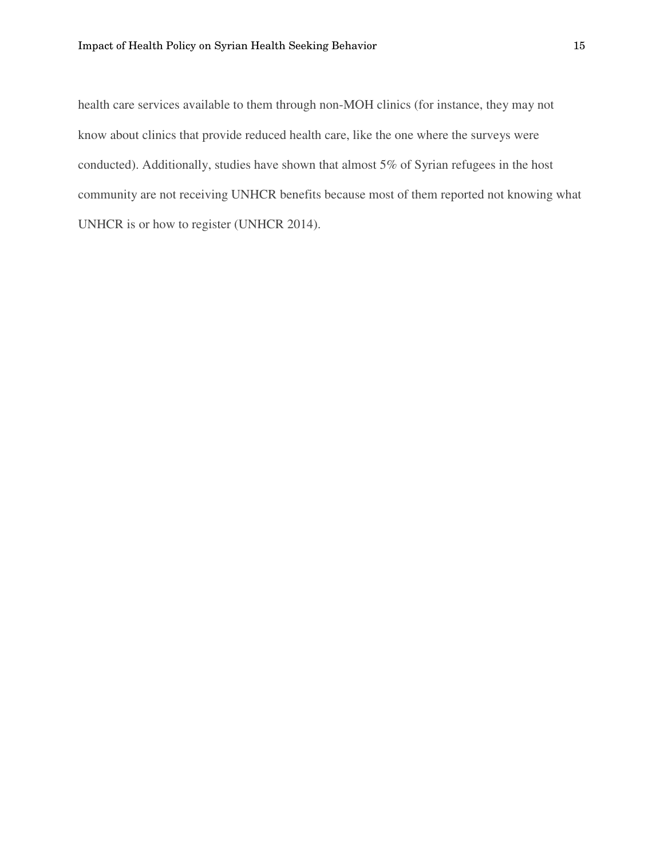health care services available to them through non-MOH clinics (for instance, they may not know about clinics that provide reduced health care, like the one where the surveys were conducted). Additionally, studies have shown that almost 5% of Syrian refugees in the host community are not receiving UNHCR benefits because most of them reported not knowing what UNHCR is or how to register (UNHCR 2014).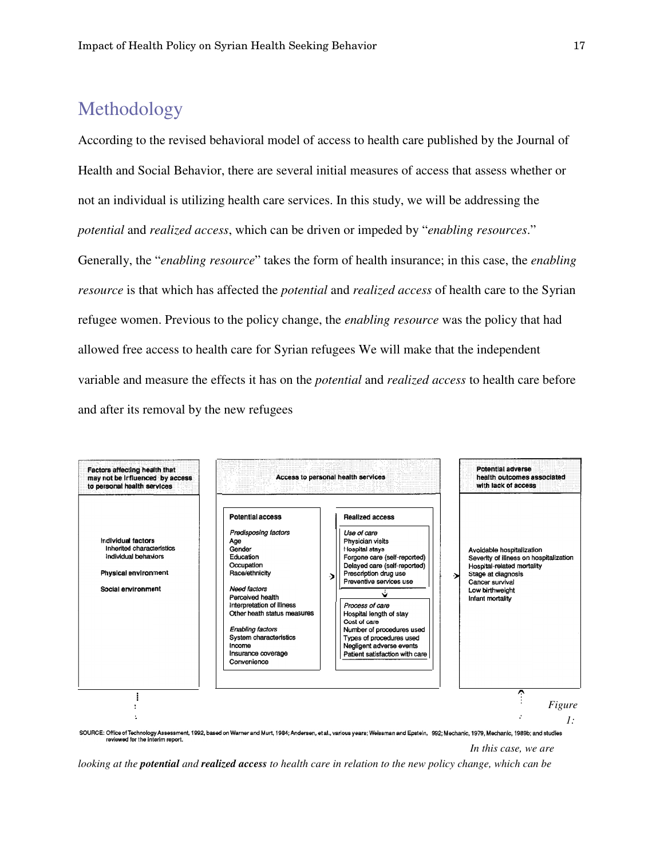### Methodology

According to the revised behavioral model of access to health care published by the Journal of Health and Social Behavior, there are several initial measures of access that assess whether or not an individual is utilizing health care services. In this study, we will be addressing the *potential* and *realized access*, which can be driven or impeded by "*enabling resources*." Generally, the "*enabling resource*" takes the form of health insurance; in this case, the *enabling resource* is that which has affected the *potential* and *realized access* of health care to the Syrian refugee women. Previous to the policy change, the *enabling resource* was the policy that had allowed free access to health care for Syrian refugees We will make that the independent variable and measure the effects it has on the *potential* and *realized access* to health care before and after its removal by the new refugees



*In this case, we are* 

*looking at the potential and realized access to health care in relation to the new policy change, which can be*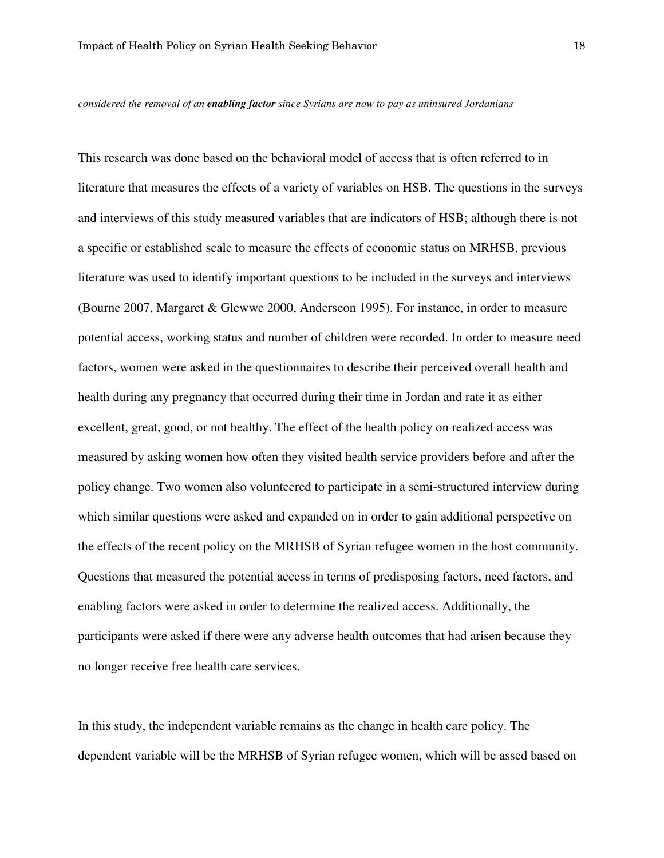*considered the removal of an enabling factor since Syrians are now to pay as uninsured Jordanians*

This research was done based on the behavioral model of access that is often referred to in literature that measures the effects of a variety of variables on HSB. The questions in the surveys and interviews of this study measured variables that are indicators of HSB; although there is not a specific or established scale to measure the effects of economic status on MRHSB, previous literature was used to identify important questions to be included in the surveys and interviews (Bourne 2007, Margaret & Glewwe 2000, Anderseon 1995). For instance, in order to measure potential access, working status and number of children were recorded. In order to measure need factors, women were asked in the questionnaires to describe their perceived overall health and health during any pregnancy that occurred during their time in Jordan and rate it as either excellent, great, good, or not healthy. The effect of the health policy on realized access was measured by asking women how often they visited health service providers before and after the policy change. Two women also volunteered to participate in a semi-structured interview during which similar questions were asked and expanded on in order to gain additional perspective on the effects of the recent policy on the MRHSB of Syrian refugee women in the host community. Questions that measured the potential access in terms of predisposing factors, need factors, and enabling factors were asked in order to determine the realized access. Additionally, the participants were asked if there were any adverse health outcomes that had arisen because they no longer receive free health care services.

In this study, the independent variable remains as the change in health care policy. The dependent variable will be the MRHSB of Syrian refugee women, which will be assed based on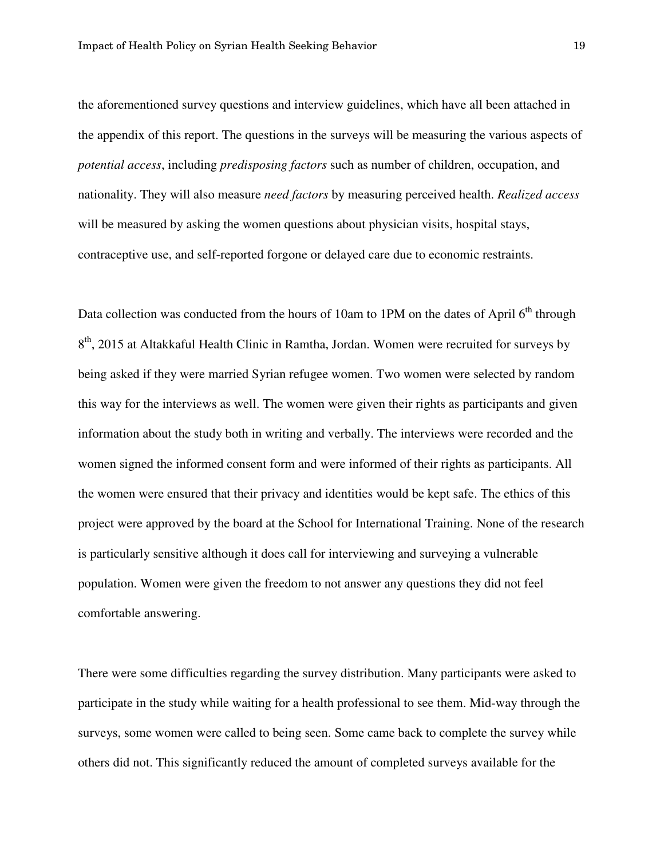the aforementioned survey questions and interview guidelines, which have all been attached in the appendix of this report. The questions in the surveys will be measuring the various aspects of *potential access*, including *predisposing factors* such as number of children, occupation, and nationality. They will also measure *need factors* by measuring perceived health. *Realized access* will be measured by asking the women questions about physician visits, hospital stays, contraceptive use, and self-reported forgone or delayed care due to economic restraints.

Data collection was conducted from the hours of 10am to 1PM on the dates of April  $6<sup>th</sup>$  through 8<sup>th</sup>, 2015 at Altakkaful Health Clinic in Ramtha, Jordan. Women were recruited for surveys by being asked if they were married Syrian refugee women. Two women were selected by random this way for the interviews as well. The women were given their rights as participants and given information about the study both in writing and verbally. The interviews were recorded and the women signed the informed consent form and were informed of their rights as participants. All the women were ensured that their privacy and identities would be kept safe. The ethics of this project were approved by the board at the School for International Training. None of the research is particularly sensitive although it does call for interviewing and surveying a vulnerable population. Women were given the freedom to not answer any questions they did not feel comfortable answering.

There were some difficulties regarding the survey distribution. Many participants were asked to participate in the study while waiting for a health professional to see them. Mid-way through the surveys, some women were called to being seen. Some came back to complete the survey while others did not. This significantly reduced the amount of completed surveys available for the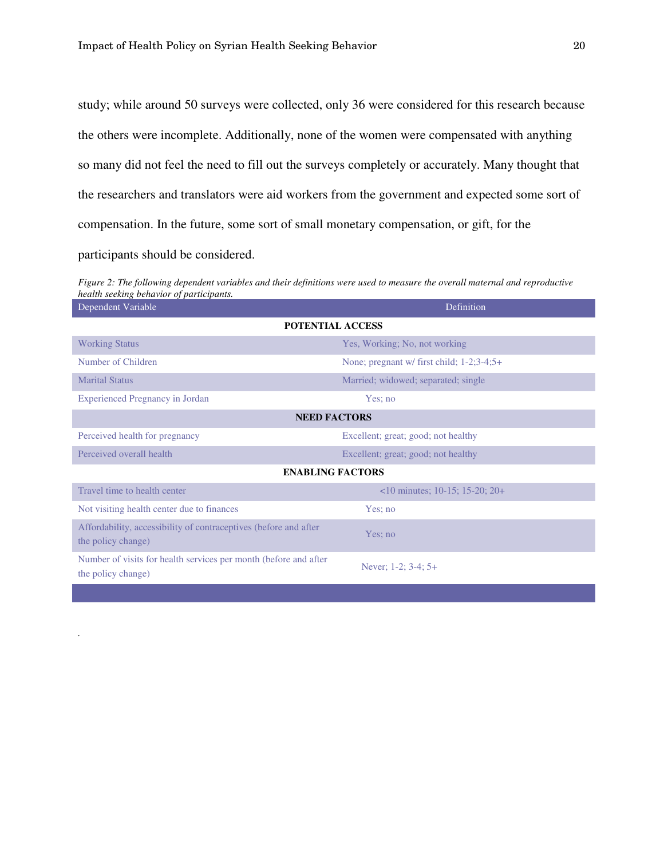*.* 

study; while around 50 surveys were collected, only 36 were considered for this research because the others were incomplete. Additionally, none of the women were compensated with anything so many did not feel the need to fill out the surveys completely or accurately. Many thought that the researchers and translators were aid workers from the government and expected some sort of compensation. In the future, some sort of small monetary compensation, or gift, for the participants should be considered.

*Figure 2: The following dependent variables and their definitions were used to measure the overall maternal and reproductive health seeking behavior of participants.*

| Dependent Variable                                                                     | Definition                                          |  |  |  |
|----------------------------------------------------------------------------------------|-----------------------------------------------------|--|--|--|
| POTENTIAL ACCESS                                                                       |                                                     |  |  |  |
| <b>Working Status</b>                                                                  | Yes, Working; No, not working                       |  |  |  |
| Number of Children                                                                     | None; pregnant w/ first child; $1-2$ ; $3-4$ ; $5+$ |  |  |  |
| <b>Marital Status</b>                                                                  | Married; widowed; separated; single                 |  |  |  |
| <b>Experienced Pregnancy in Jordan</b>                                                 | Yes; no                                             |  |  |  |
| <b>NEED FACTORS</b>                                                                    |                                                     |  |  |  |
| Perceived health for pregnancy                                                         | Excellent; great; good; not healthy                 |  |  |  |
| Perceived overall health                                                               | Excellent; great; good; not healthy                 |  |  |  |
| <b>ENABLING FACTORS</b>                                                                |                                                     |  |  |  |
| Travel time to health center                                                           | $\leq$ 10 minutes; 10-15; 15-20; 20+                |  |  |  |
| Not visiting health center due to finances                                             | Yes; no                                             |  |  |  |
| Affordability, accessibility of contraceptives (before and after<br>the policy change) | Yes; no                                             |  |  |  |
| Number of visits for health services per month (before and after<br>the policy change) | Never; $1-2$ ; $3-4$ ; $5+$                         |  |  |  |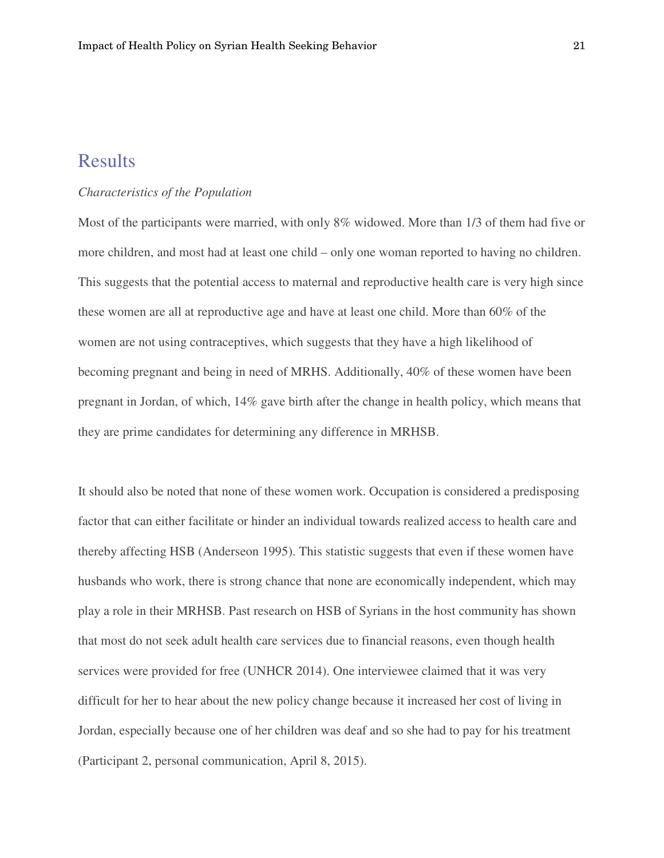### **Results**

### *Characteristics of the Population*

Most of the participants were married, with only 8% widowed. More than 1/3 of them had five or more children, and most had at least one child – only one woman reported to having no children. This suggests that the potential access to maternal and reproductive health care is very high since these women are all at reproductive age and have at least one child. More than 60% of the women are not using contraceptives, which suggests that they have a high likelihood of becoming pregnant and being in need of MRHS. Additionally, 40% of these women have been pregnant in Jordan, of which, 14% gave birth after the change in health policy, which means that they are prime candidates for determining any difference in MRHSB.

It should also be noted that none of these women work. Occupation is considered a predisposing factor that can either facilitate or hinder an individual towards realized access to health care and thereby affecting HSB (Anderseon 1995). This statistic suggests that even if these women have husbands who work, there is strong chance that none are economically independent, which may play a role in their MRHSB. Past research on HSB of Syrians in the host community has shown that most do not seek adult health care services due to financial reasons, even though health services were provided for free (UNHCR 2014). One interviewee claimed that it was very difficult for her to hear about the new policy change because it increased her cost of living in Jordan, especially because one of her children was deaf and so she had to pay for his treatment (Participant 2, personal communication, April 8, 2015).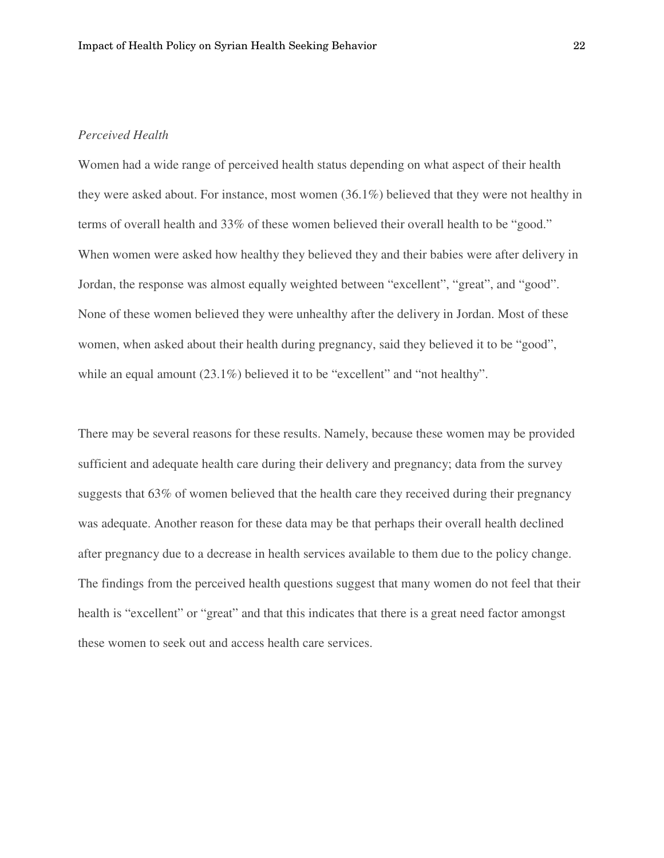### *Perceived Health*

Women had a wide range of perceived health status depending on what aspect of their health they were asked about. For instance, most women (36.1%) believed that they were not healthy in terms of overall health and 33% of these women believed their overall health to be "good." When women were asked how healthy they believed they and their babies were after delivery in Jordan, the response was almost equally weighted between "excellent", "great", and "good". None of these women believed they were unhealthy after the delivery in Jordan. Most of these women, when asked about their health during pregnancy, said they believed it to be "good", while an equal amount (23.1%) believed it to be "excellent" and "not healthy".

There may be several reasons for these results. Namely, because these women may be provided sufficient and adequate health care during their delivery and pregnancy; data from the survey suggests that 63% of women believed that the health care they received during their pregnancy was adequate. Another reason for these data may be that perhaps their overall health declined after pregnancy due to a decrease in health services available to them due to the policy change. The findings from the perceived health questions suggest that many women do not feel that their health is "excellent" or "great" and that this indicates that there is a great need factor amongst these women to seek out and access health care services.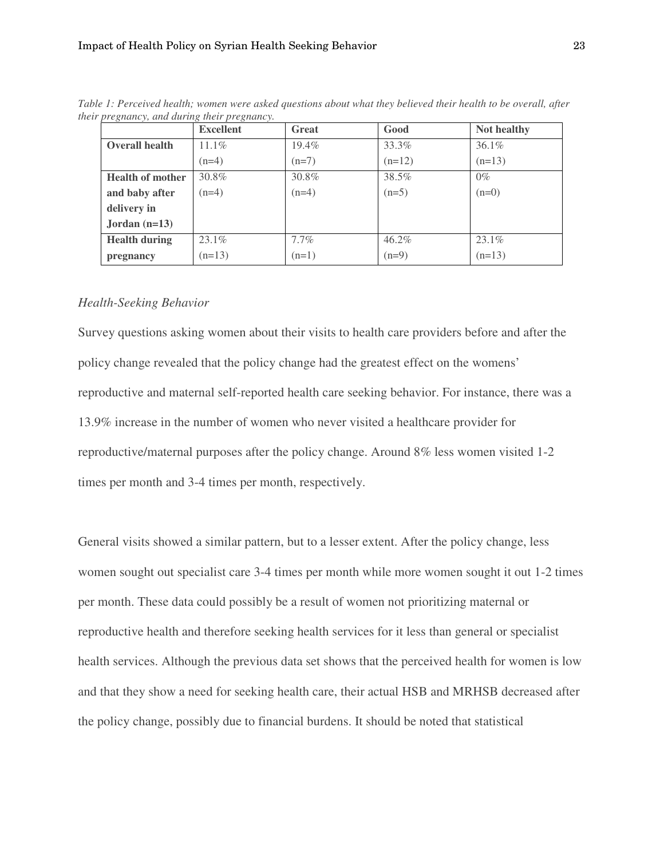|                         | <b>Excellent</b> | <b>Great</b> | Good     | Not healthy |
|-------------------------|------------------|--------------|----------|-------------|
| <b>Overall health</b>   | $11.1\%$         | 19.4%        | 33.3%    | $36.1\%$    |
|                         | $(n=4)$          | $(n=7)$      | $(n=12)$ | $(n=13)$    |
| <b>Health of mother</b> | 30.8%            | 30.8%        | 38.5%    | $0\%$       |
| and baby after          | $(n=4)$          | $(n=4)$      | $(n=5)$  | $(n=0)$     |
| delivery in             |                  |              |          |             |
| Jordan $(n=13)$         |                  |              |          |             |
| <b>Health during</b>    | 23.1%            | $7.7\%$      | 46.2%    | $23.1\%$    |
| pregnancy               | $(n=13)$         | $(n=1)$      | $(n=9)$  | $(n=13)$    |

*Table 1: Perceived health; women were asked questions about what they believed their health to be overall, after their pregnancy, and during their pregnancy.* 

#### *Health-Seeking Behavior*

Survey questions asking women about their visits to health care providers before and after the policy change revealed that the policy change had the greatest effect on the womens' reproductive and maternal self-reported health care seeking behavior. For instance, there was a 13.9% increase in the number of women who never visited a healthcare provider for reproductive/maternal purposes after the policy change. Around 8% less women visited 1-2 times per month and 3-4 times per month, respectively.

General visits showed a similar pattern, but to a lesser extent. After the policy change, less women sought out specialist care 3-4 times per month while more women sought it out 1-2 times per month. These data could possibly be a result of women not prioritizing maternal or reproductive health and therefore seeking health services for it less than general or specialist health services. Although the previous data set shows that the perceived health for women is low and that they show a need for seeking health care, their actual HSB and MRHSB decreased after the policy change, possibly due to financial burdens. It should be noted that statistical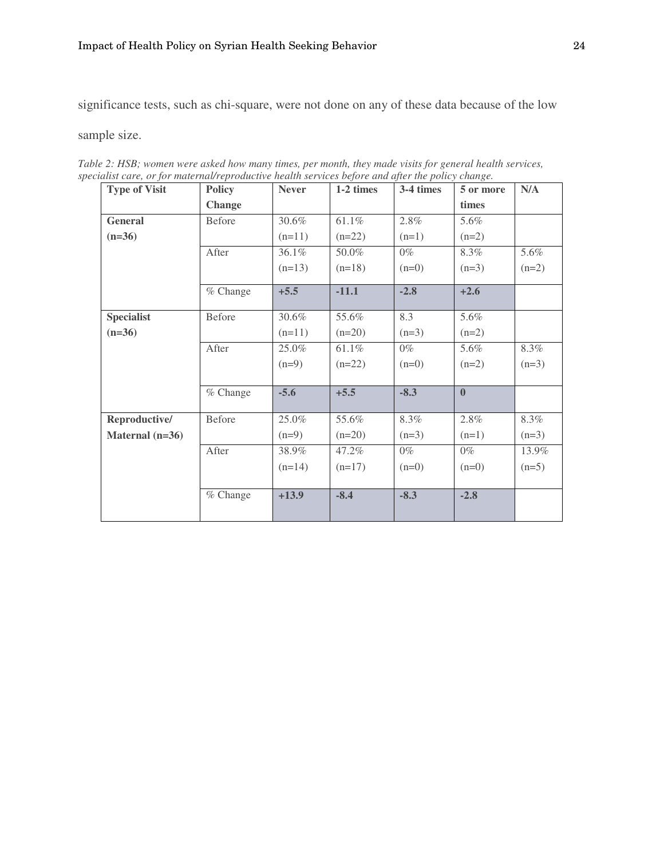significance tests, such as chi-square, were not done on any of these data because of the low

sample size.

| <b>Type of Visit</b> | <b>Policy</b> | <b>Never</b> | 1-2 times | 3-4 times | 5 or more    | N/A     |
|----------------------|---------------|--------------|-----------|-----------|--------------|---------|
|                      | <b>Change</b> |              |           |           | times        |         |
| <b>General</b>       | Before        | 30.6%        | 61.1%     | 2.8%      | 5.6%         |         |
| $(n=36)$             |               | $(n=11)$     | $(n=22)$  | $(n=1)$   | $(n=2)$      |         |
|                      | After         | 36.1%        | 50.0%     | $0\%$     | 8.3%         | 5.6%    |
|                      |               | $(n=13)$     | $(n=18)$  | $(n=0)$   | $(n=3)$      | $(n=2)$ |
|                      | % Change      | $+5.5$       | $-11.1$   | $-2.8$    | $+2.6$       |         |
| <b>Specialist</b>    | <b>Before</b> | 30.6%        | 55.6%     | 8.3       | 5.6%         |         |
| $(n=36)$             |               | $(n=11)$     | $(n=20)$  | $(n=3)$   | $(n=2)$      |         |
|                      | After         | 25.0%        | 61.1%     | $0\%$     | 5.6%         | 8.3%    |
|                      |               | $(n=9)$      | $(n=22)$  | $(n=0)$   | $(n=2)$      | $(n=3)$ |
|                      | $%$ Change    | $-5.6$       | $+5.5$    | $-8.3$    | $\mathbf{0}$ |         |
| Reproductive/        | <b>Before</b> | 25.0%        | 55.6%     | 8.3%      | 2.8%         | 8.3%    |
| Maternal $(n=36)$    |               | $(n=9)$      | $(n=20)$  | $(n=3)$   | $(n=1)$      | $(n=3)$ |
|                      | After         | 38.9%        | 47.2%     | $0\%$     | $0\%$        | 13.9%   |
|                      |               | $(n=14)$     | $(n=17)$  | $(n=0)$   | $(n=0)$      | $(n=5)$ |
|                      | $%$ Change    | $+13.9$      | $-8.4$    | $-8.3$    | $-2.8$       |         |

*Table 2: HSB; women were asked how many times, per month, they made visits for general health services, specialist care, or for maternal/reproductive health services before and after the policy change.*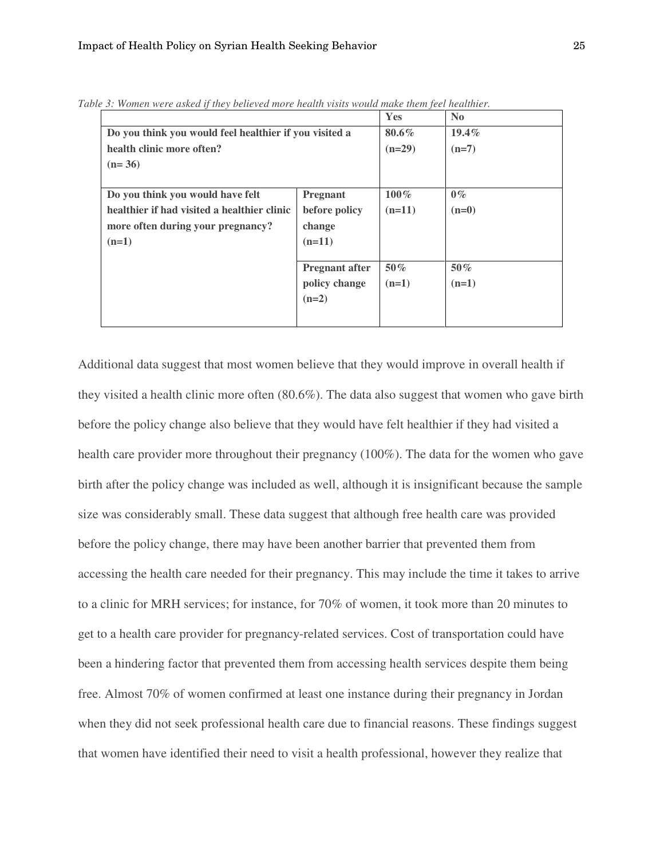|                                                        | Yes                   | N <sub>0</sub>                 |
|--------------------------------------------------------|-----------------------|--------------------------------|
| Do you think you would feel healthier if you visited a |                       | $19.4\%$                       |
| health clinic more often?                              |                       |                                |
| $(n=36)$                                               |                       |                                |
|                                                        |                       |                                |
| <b>Pregnant</b>                                        | $100\%$               | $0\%$                          |
| before policy                                          | $(n=11)$              | $(n=0)$                        |
| change                                                 |                       |                                |
| $(n=11)$                                               |                       |                                |
|                                                        |                       |                                |
|                                                        |                       | $50\%$                         |
| policy change                                          | $(n=1)$               | $(n=1)$                        |
| $(n=2)$                                                |                       |                                |
|                                                        |                       |                                |
|                                                        | <b>Pregnant after</b> | $80.6\%$<br>$(n=29)$<br>$50\%$ |

*Table 3: Women were asked if they believed more health visits would make them feel healthier.* 

Additional data suggest that most women believe that they would improve in overall health if they visited a health clinic more often (80.6%). The data also suggest that women who gave birth before the policy change also believe that they would have felt healthier if they had visited a health care provider more throughout their pregnancy (100%). The data for the women who gave birth after the policy change was included as well, although it is insignificant because the sample size was considerably small. These data suggest that although free health care was provided before the policy change, there may have been another barrier that prevented them from accessing the health care needed for their pregnancy. This may include the time it takes to arrive to a clinic for MRH services; for instance, for 70% of women, it took more than 20 minutes to get to a health care provider for pregnancy-related services. Cost of transportation could have been a hindering factor that prevented them from accessing health services despite them being free. Almost 70% of women confirmed at least one instance during their pregnancy in Jordan when they did not seek professional health care due to financial reasons. These findings suggest that women have identified their need to visit a health professional, however they realize that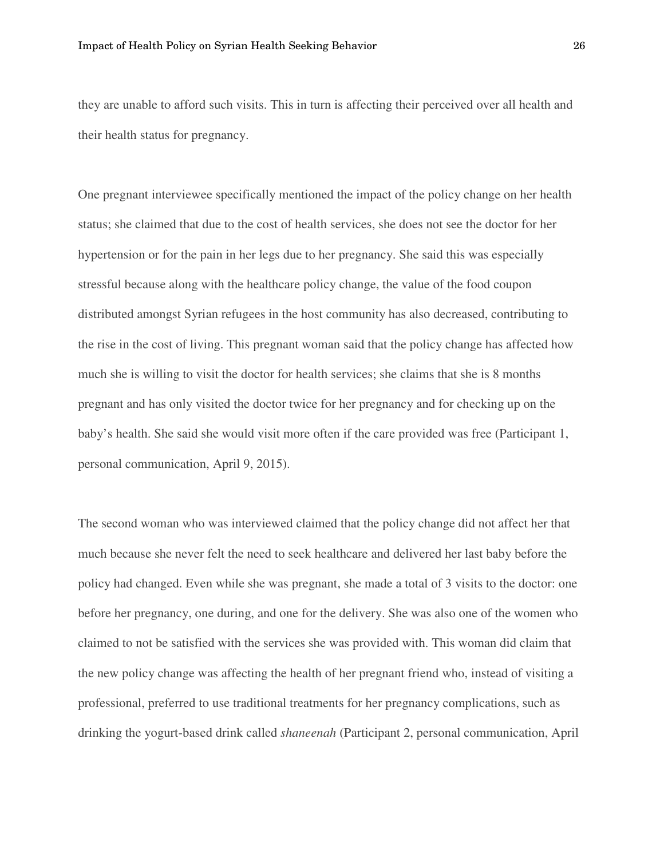they are unable to afford such visits. This in turn is affecting their perceived over all health and their health status for pregnancy.

One pregnant interviewee specifically mentioned the impact of the policy change on her health status; she claimed that due to the cost of health services, she does not see the doctor for her hypertension or for the pain in her legs due to her pregnancy. She said this was especially stressful because along with the healthcare policy change, the value of the food coupon distributed amongst Syrian refugees in the host community has also decreased, contributing to the rise in the cost of living. This pregnant woman said that the policy change has affected how much she is willing to visit the doctor for health services; she claims that she is 8 months pregnant and has only visited the doctor twice for her pregnancy and for checking up on the baby's health. She said she would visit more often if the care provided was free (Participant 1, personal communication, April 9, 2015).

The second woman who was interviewed claimed that the policy change did not affect her that much because she never felt the need to seek healthcare and delivered her last baby before the policy had changed. Even while she was pregnant, she made a total of 3 visits to the doctor: one before her pregnancy, one during, and one for the delivery. She was also one of the women who claimed to not be satisfied with the services she was provided with. This woman did claim that the new policy change was affecting the health of her pregnant friend who, instead of visiting a professional, preferred to use traditional treatments for her pregnancy complications, such as drinking the yogurt-based drink called *shaneenah* (Participant 2, personal communication, April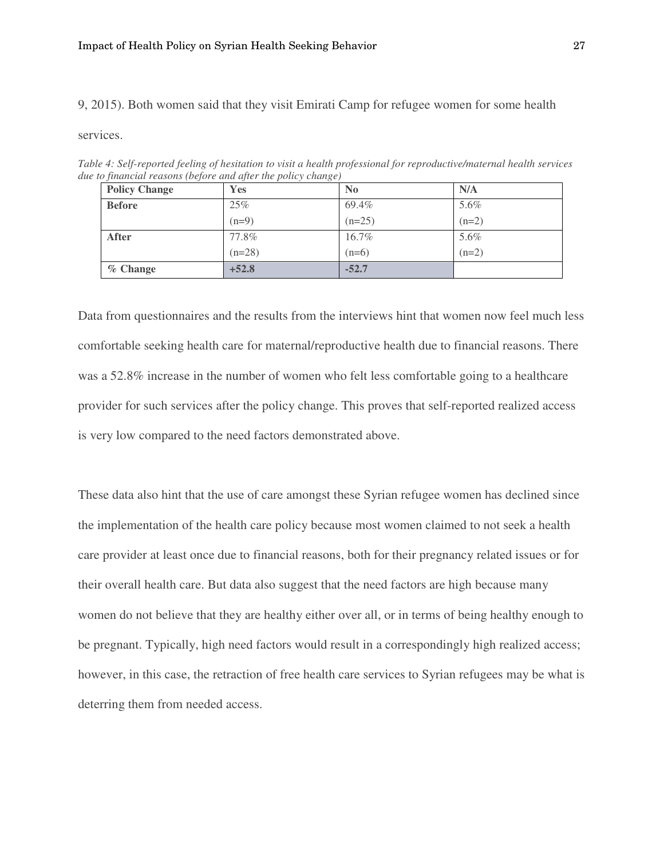9, 2015). Both women said that they visit Emirati Camp for refugee women for some health

services.

*Table 4: Self-reported feeling of hesitation to visit a health professional for reproductive/maternal health services due to financial reasons (before and after the policy change)* 

| <b>Policy Change</b> | Yes      | $\mathbf{N_0}$ | N/A     |
|----------------------|----------|----------------|---------|
| <b>Before</b>        | 25%      | 69.4%          | 5.6%    |
|                      | $(n=9)$  | $(n=25)$       | $(n=2)$ |
| <b>After</b>         | 77.8%    | 16.7%          | 5.6%    |
|                      | $(n=28)$ | $(n=6)$        | $(n=2)$ |
| $%$ Change           | $+52.8$  | $-52.7$        |         |

Data from questionnaires and the results from the interviews hint that women now feel much less comfortable seeking health care for maternal/reproductive health due to financial reasons. There was a 52.8% increase in the number of women who felt less comfortable going to a healthcare provider for such services after the policy change. This proves that self-reported realized access is very low compared to the need factors demonstrated above.

These data also hint that the use of care amongst these Syrian refugee women has declined since the implementation of the health care policy because most women claimed to not seek a health care provider at least once due to financial reasons, both for their pregnancy related issues or for their overall health care. But data also suggest that the need factors are high because many women do not believe that they are healthy either over all, or in terms of being healthy enough to be pregnant. Typically, high need factors would result in a correspondingly high realized access; however, in this case, the retraction of free health care services to Syrian refugees may be what is deterring them from needed access.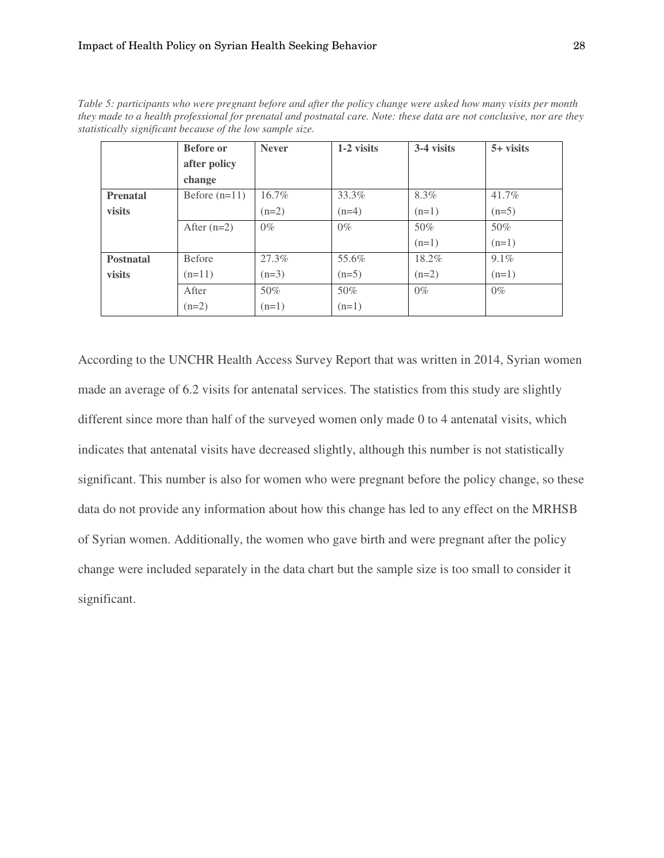*Table 5: participants who were pregnant before and after the policy change were asked how many visits per month they made to a health professional for prenatal and postnatal care. Note: these data are not conclusive, nor are they statistically significant because of the low sample size.* 

|                  | <b>Before</b> or | <b>Never</b> | 1-2 visits | 3-4 visits | $5+$ visits |
|------------------|------------------|--------------|------------|------------|-------------|
|                  | after policy     |              |            |            |             |
|                  | change           |              |            |            |             |
| <b>Prenatal</b>  | Before $(n=11)$  | 16.7%        | 33.3%      | 8.3%       | 41.7%       |
| visits           |                  | $(n=2)$      | $(n=4)$    | $(n=1)$    | $(n=5)$     |
|                  | After $(n=2)$    | $0\%$        | $0\%$      | 50%        | 50%         |
|                  |                  |              |            | $(n=1)$    | $(n=1)$     |
| <b>Postnatal</b> | <b>Before</b>    | 27.3%        | 55.6%      | 18.2%      | 9.1%        |
| visits           | $(n=11)$         | $(n=3)$      | $(n=5)$    | $(n=2)$    | $(n=1)$     |
|                  | After            | 50%          | 50%        | $0\%$      | $0\%$       |
|                  | $(n=2)$          | $(n=1)$      | $(n=1)$    |            |             |

According to the UNCHR Health Access Survey Report that was written in 2014, Syrian women made an average of 6.2 visits for antenatal services. The statistics from this study are slightly different since more than half of the surveyed women only made 0 to 4 antenatal visits, which indicates that antenatal visits have decreased slightly, although this number is not statistically significant. This number is also for women who were pregnant before the policy change, so these data do not provide any information about how this change has led to any effect on the MRHSB of Syrian women. Additionally, the women who gave birth and were pregnant after the policy change were included separately in the data chart but the sample size is too small to consider it significant.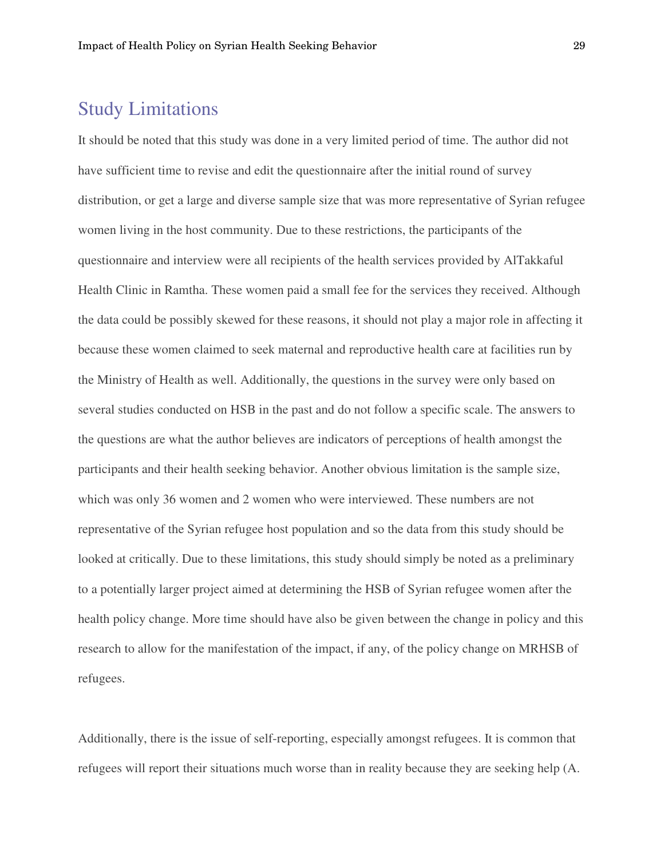### Study Limitations

It should be noted that this study was done in a very limited period of time. The author did not have sufficient time to revise and edit the questionnaire after the initial round of survey distribution, or get a large and diverse sample size that was more representative of Syrian refugee women living in the host community. Due to these restrictions, the participants of the questionnaire and interview were all recipients of the health services provided by AlTakkaful Health Clinic in Ramtha. These women paid a small fee for the services they received. Although the data could be possibly skewed for these reasons, it should not play a major role in affecting it because these women claimed to seek maternal and reproductive health care at facilities run by the Ministry of Health as well. Additionally, the questions in the survey were only based on several studies conducted on HSB in the past and do not follow a specific scale. The answers to the questions are what the author believes are indicators of perceptions of health amongst the participants and their health seeking behavior. Another obvious limitation is the sample size, which was only 36 women and 2 women who were interviewed. These numbers are not representative of the Syrian refugee host population and so the data from this study should be looked at critically. Due to these limitations, this study should simply be noted as a preliminary to a potentially larger project aimed at determining the HSB of Syrian refugee women after the health policy change. More time should have also be given between the change in policy and this research to allow for the manifestation of the impact, if any, of the policy change on MRHSB of refugees.

Additionally, there is the issue of self-reporting, especially amongst refugees. It is common that refugees will report their situations much worse than in reality because they are seeking help (A.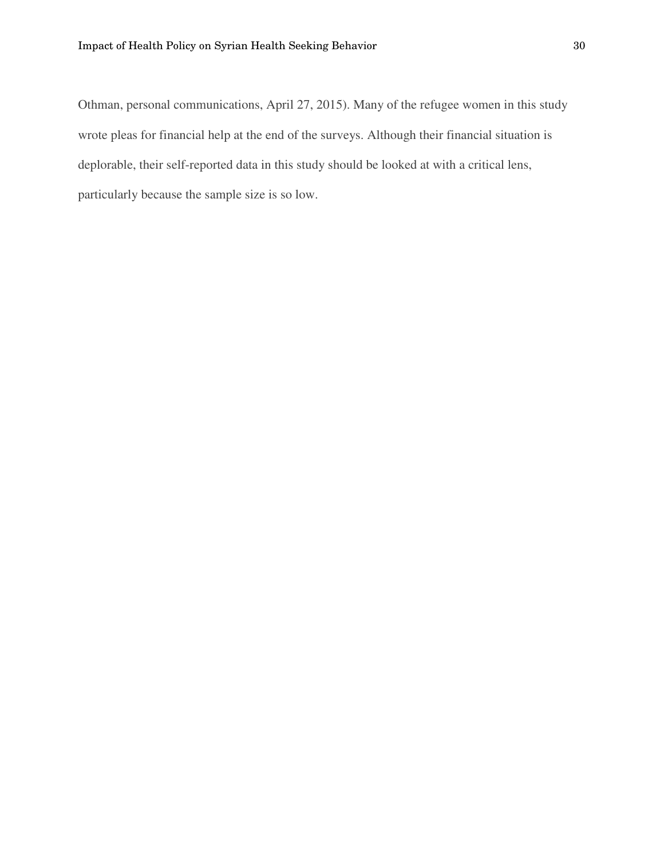Othman, personal communications, April 27, 2015). Many of the refugee women in this study wrote pleas for financial help at the end of the surveys. Although their financial situation is deplorable, their self-reported data in this study should be looked at with a critical lens, particularly because the sample size is so low.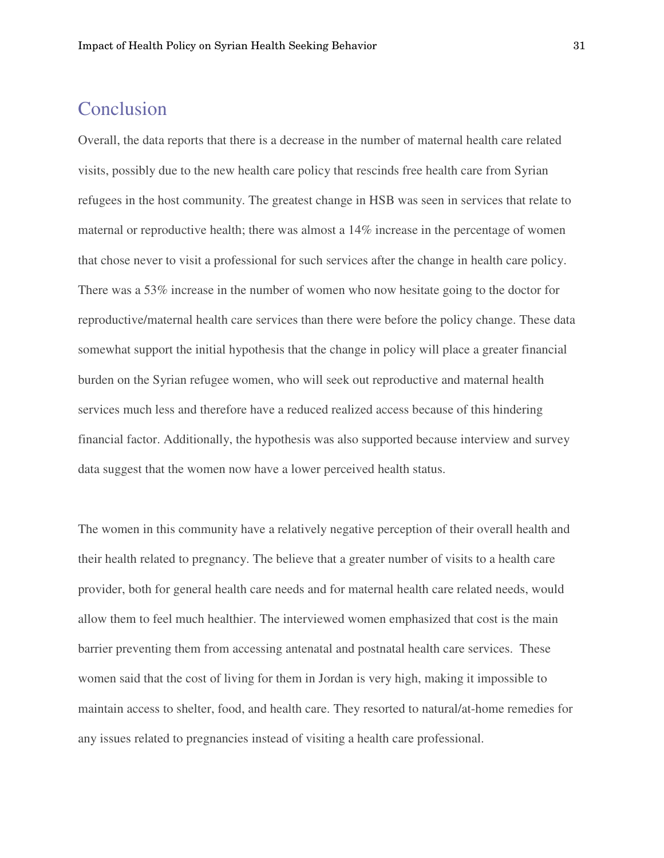### Conclusion

Overall, the data reports that there is a decrease in the number of maternal health care related visits, possibly due to the new health care policy that rescinds free health care from Syrian refugees in the host community. The greatest change in HSB was seen in services that relate to maternal or reproductive health; there was almost a 14% increase in the percentage of women that chose never to visit a professional for such services after the change in health care policy. There was a 53% increase in the number of women who now hesitate going to the doctor for reproductive/maternal health care services than there were before the policy change. These data somewhat support the initial hypothesis that the change in policy will place a greater financial burden on the Syrian refugee women, who will seek out reproductive and maternal health services much less and therefore have a reduced realized access because of this hindering financial factor. Additionally, the hypothesis was also supported because interview and survey data suggest that the women now have a lower perceived health status.

The women in this community have a relatively negative perception of their overall health and their health related to pregnancy. The believe that a greater number of visits to a health care provider, both for general health care needs and for maternal health care related needs, would allow them to feel much healthier. The interviewed women emphasized that cost is the main barrier preventing them from accessing antenatal and postnatal health care services. These women said that the cost of living for them in Jordan is very high, making it impossible to maintain access to shelter, food, and health care. They resorted to natural/at-home remedies for any issues related to pregnancies instead of visiting a health care professional.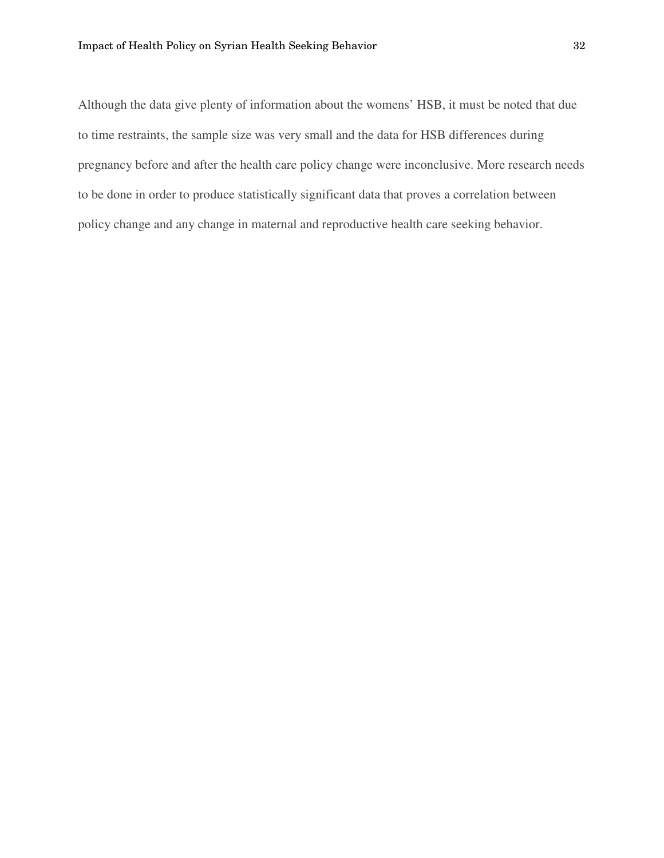Although the data give plenty of information about the womens' HSB, it must be noted that due to time restraints, the sample size was very small and the data for HSB differences during pregnancy before and after the health care policy change were inconclusive. More research needs to be done in order to produce statistically significant data that proves a correlation between policy change and any change in maternal and reproductive health care seeking behavior.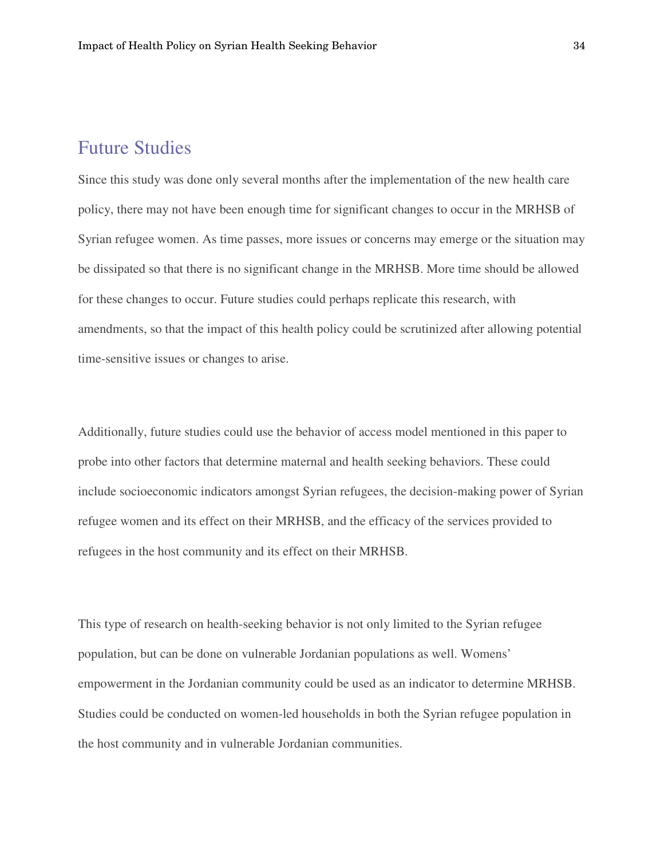### Future Studies

Since this study was done only several months after the implementation of the new health care policy, there may not have been enough time for significant changes to occur in the MRHSB of Syrian refugee women. As time passes, more issues or concerns may emerge or the situation may be dissipated so that there is no significant change in the MRHSB. More time should be allowed for these changes to occur. Future studies could perhaps replicate this research, with amendments, so that the impact of this health policy could be scrutinized after allowing potential time-sensitive issues or changes to arise.

Additionally, future studies could use the behavior of access model mentioned in this paper to probe into other factors that determine maternal and health seeking behaviors. These could include socioeconomic indicators amongst Syrian refugees, the decision-making power of Syrian refugee women and its effect on their MRHSB, and the efficacy of the services provided to refugees in the host community and its effect on their MRHSB.

This type of research on health-seeking behavior is not only limited to the Syrian refugee population, but can be done on vulnerable Jordanian populations as well. Womens' empowerment in the Jordanian community could be used as an indicator to determine MRHSB. Studies could be conducted on women-led households in both the Syrian refugee population in the host community and in vulnerable Jordanian communities.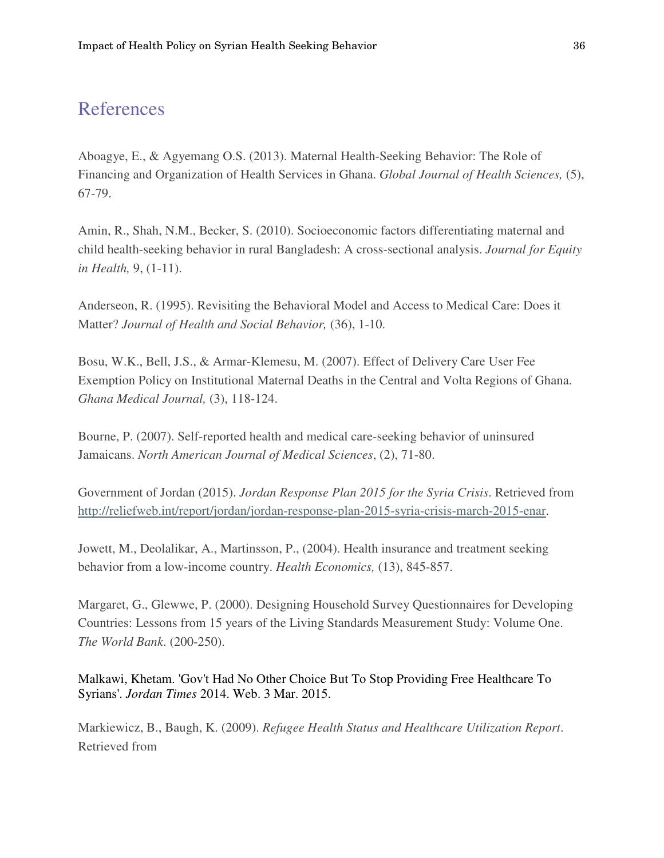### References

Aboagye, E., & Agyemang O.S. (2013). Maternal Health-Seeking Behavior: The Role of Financing and Organization of Health Services in Ghana. *Global Journal of Health Sciences,* (5), 67-79.

Amin, R., Shah, N.M., Becker, S. (2010). Socioeconomic factors differentiating maternal and child health-seeking behavior in rural Bangladesh: A cross-sectional analysis. *Journal for Equity in Health,* 9, (1-11).

Anderseon, R. (1995). Revisiting the Behavioral Model and Access to Medical Care: Does it Matter? *Journal of Health and Social Behavior,* (36), 1-10.

Bosu, W.K., Bell, J.S., & Armar-Klemesu, M. (2007). Effect of Delivery Care User Fee Exemption Policy on Institutional Maternal Deaths in the Central and Volta Regions of Ghana. *Ghana Medical Journal,* (3), 118-124.

Bourne, P. (2007). Self-reported health and medical care-seeking behavior of uninsured Jamaicans. *North American Journal of Medical Sciences*, (2), 71-80.

Government of Jordan (2015). *Jordan Response Plan 2015 for the Syria Crisis*. Retrieved from http://reliefweb.int/report/jordan/jordan-response-plan-2015-syria-crisis-march-2015-enar.

Jowett, M., Deolalikar, A., Martinsson, P., (2004). Health insurance and treatment seeking behavior from a low-income country. *Health Economics,* (13), 845-857.

Margaret, G., Glewwe, P. (2000). Designing Household Survey Questionnaires for Developing Countries: Lessons from 15 years of the Living Standards Measurement Study: Volume One. *The World Bank*. (200-250).

Malkawi, Khetam. 'Gov't Had No Other Choice But To Stop Providing Free Healthcare To Syrians'. *Jordan Times* 2014. Web. 3 Mar. 2015.

Markiewicz, B., Baugh, K. (2009). *Refugee Health Status and Healthcare Utilization Report*. Retrieved from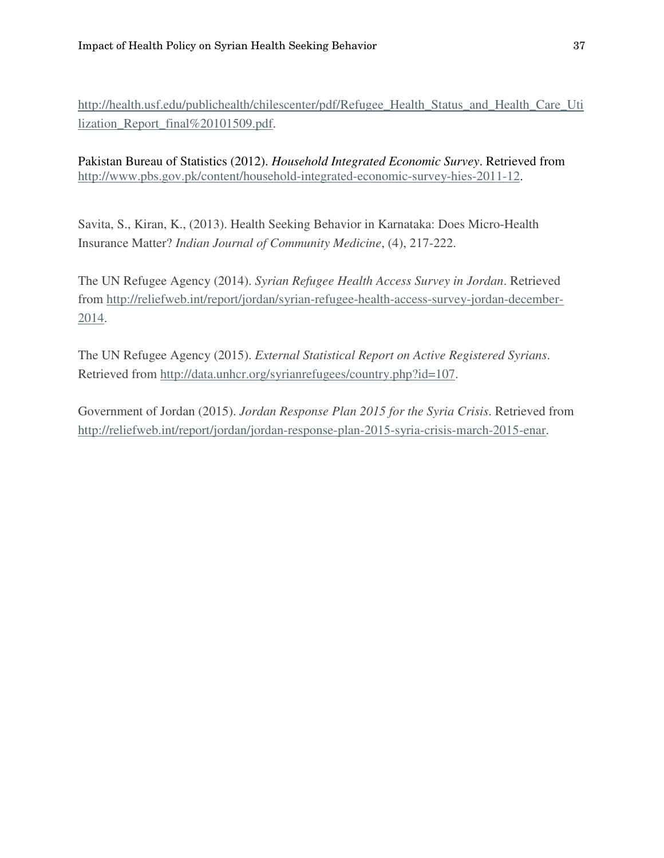http://health.usf.edu/publichealth/chilescenter/pdf/Refugee\_Health\_Status\_and\_Health\_Care\_Uti lization\_Report\_final%20101509.pdf.

Pakistan Bureau of Statistics (2012). *Household Integrated Economic Survey*. Retrieved from http://www.pbs.gov.pk/content/household-integrated-economic-survey-hies-2011-12.

Savita, S., Kiran, K., (2013). Health Seeking Behavior in Karnataka: Does Micro-Health Insurance Matter? *Indian Journal of Community Medicine*, (4), 217-222.

The UN Refugee Agency (2014). *Syrian Refugee Health Access Survey in Jordan*. Retrieved from http://reliefweb.int/report/jordan/syrian-refugee-health-access-survey-jordan-december-2014.

The UN Refugee Agency (2015). *External Statistical Report on Active Registered Syrians*. Retrieved from http://data.unhcr.org/syrianrefugees/country.php?id=107.

Government of Jordan (2015). *Jordan Response Plan 2015 for the Syria Crisis*. Retrieved from http://reliefweb.int/report/jordan/jordan-response-plan-2015-syria-crisis-march-2015-enar.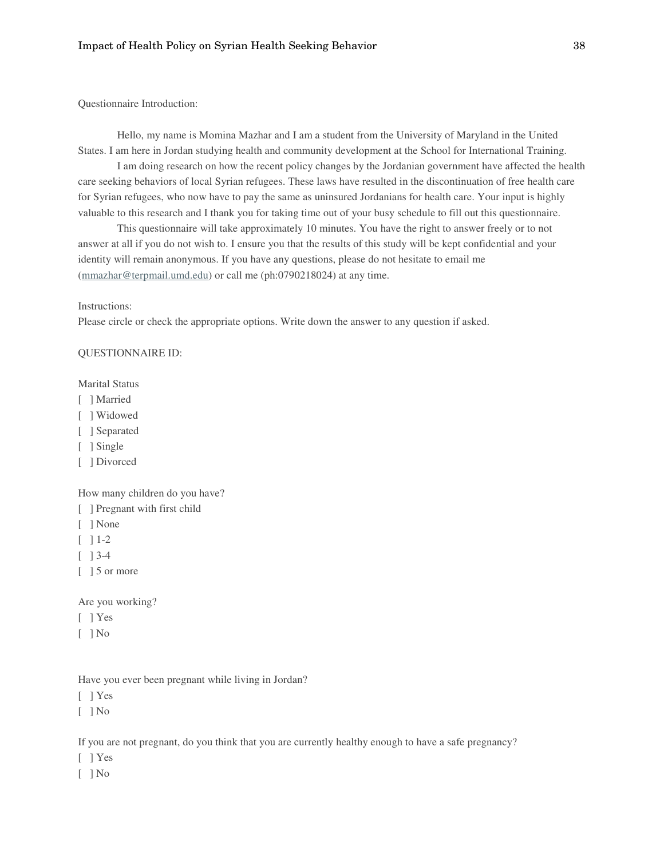Questionnaire Introduction:

Hello, my name is Momina Mazhar and I am a student from the University of Maryland in the United States. I am here in Jordan studying health and community development at the School for International Training.

I am doing research on how the recent policy changes by the Jordanian government have affected the health care seeking behaviors of local Syrian refugees. These laws have resulted in the discontinuation of free health care for Syrian refugees, who now have to pay the same as uninsured Jordanians for health care. Your input is highly valuable to this research and I thank you for taking time out of your busy schedule to fill out this questionnaire.

This questionnaire will take approximately 10 minutes. You have the right to answer freely or to not answer at all if you do not wish to. I ensure you that the results of this study will be kept confidential and your identity will remain anonymous. If you have any questions, please do not hesitate to email me (mmazhar@terpmail.umd.edu) or call me (ph:0790218024) at any time.

#### Instructions:

Please circle or check the appropriate options. Write down the answer to any question if asked.

#### QUESTIONNAIRE ID:

Marital Status

- [ ] Married
- [ ] Widowed
- [ ] Separated
- [ ] Single
- [ ] Divorced

How many children do you have?

- [ ] Pregnant with first child
- [ ] None
- $\lceil$  1-2
- [ ] 3-4
- [ ] 5 or more

Are you working?

- [ ] Yes
- $\lceil$   $\rceil$  No

Have you ever been pregnant while living in Jordan?

- [ ] Yes
- $\lceil$  | No

If you are not pregnant, do you think that you are currently healthy enough to have a safe pregnancy?

- [ ] Yes
- [ ] No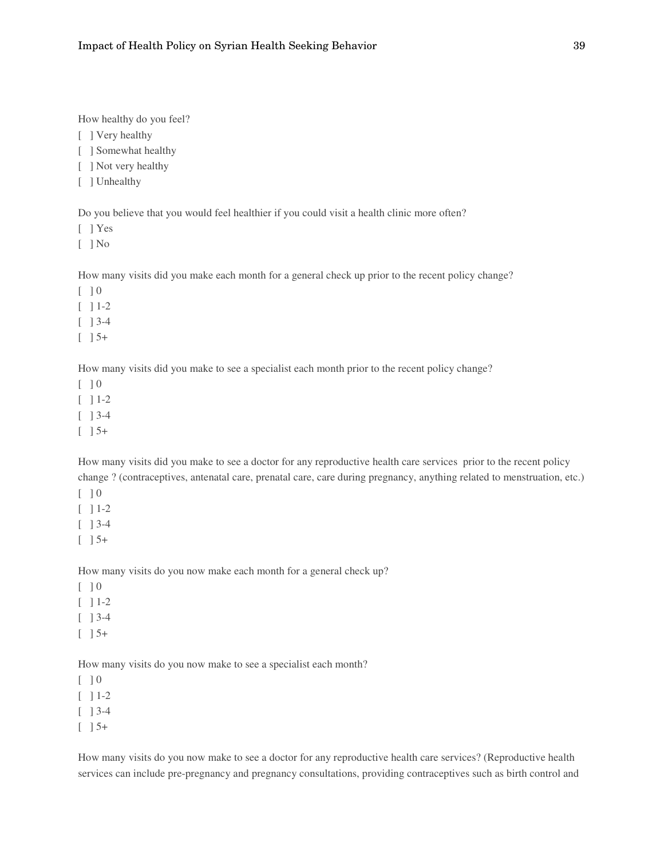How healthy do you feel?

[ ] Very healthy

[ ] Somewhat healthy

[ ] Not very healthy

[ ] Unhealthy

Do you believe that you would feel healthier if you could visit a health clinic more often?

[ ] Yes

 $\lceil$  | No

How many visits did you make each month for a general check up prior to the recent policy change?

 $[$   $]$  0

 $\lceil$  1-2

[ ] 3-4

 $\begin{bmatrix} 1 & 5 \end{bmatrix}$ 

How many visits did you make to see a specialist each month prior to the recent policy change?

 $\lceil$   $\rceil$  0

 $[$   $]$  1-2

[ ] 3-4

 $\lceil$   $\rceil$  5+

How many visits did you make to see a doctor for any reproductive health care services prior to the recent policy change ? (contraceptives, antenatal care, prenatal care, care during pregnancy, anything related to menstruation, etc.)

 $\begin{bmatrix} 1 & 0 \\ 0 & 0 \end{bmatrix}$ 

 $[$   $]$  1-2

[ ] 3-4

 $\lceil$   $\rceil$  5+

How many visits do you now make each month for a general check up?

 $\lceil$   $\rceil$  0

 $[$   $]$  1-2

 $[$   $]$  3-4

 $\lceil$   $\rceil$  5+

How many visits do you now make to see a specialist each month?

 $\begin{bmatrix} 1 & 0 \\ 0 & 0 \end{bmatrix}$ 

 $[$   $]$  1-2

[ ] 3-4

 $\left[\begin{array}{c} 1 \end{array}\right]$  5+

How many visits do you now make to see a doctor for any reproductive health care services? (Reproductive health services can include pre-pregnancy and pregnancy consultations, providing contraceptives such as birth control and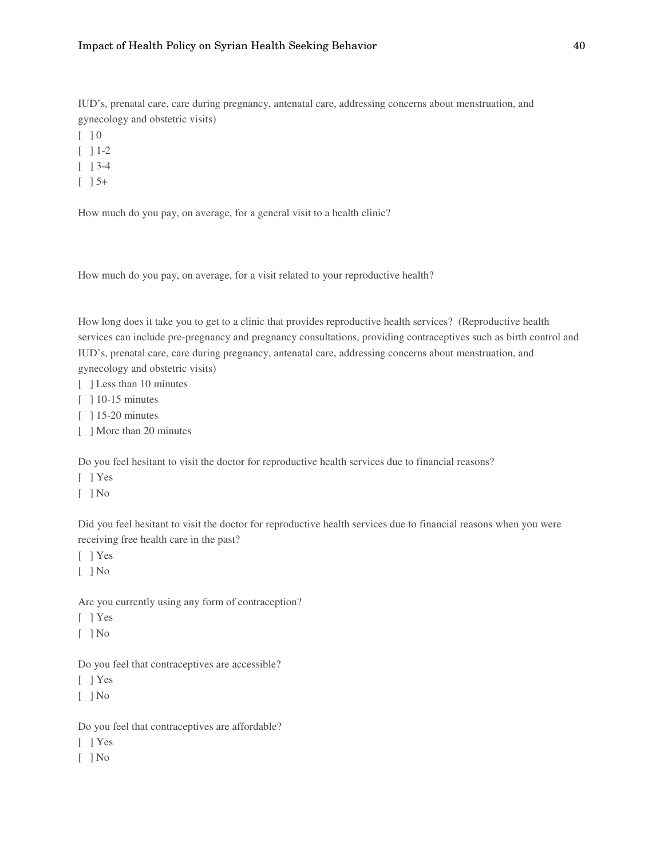IUD's, prenatal care, care during pregnancy, antenatal care, addressing concerns about menstruation, and gynecology and obstetric visits)

- $\lceil$   $\rceil$  0
- $[$   $]$  1-2
- [ ] 3-4
- $\begin{bmatrix} 1 & 5 \end{bmatrix}$

How much do you pay, on average, for a general visit to a health clinic?

How much do you pay, on average, for a visit related to your reproductive health?

How long does it take you to get to a clinic that provides reproductive health services? (Reproductive health services can include pre-pregnancy and pregnancy consultations, providing contraceptives such as birth control and IUD's, prenatal care, care during pregnancy, antenatal care, addressing concerns about menstruation, and gynecology and obstetric visits)

- [ ] Less than 10 minutes
- [ ] 10-15 minutes
- [ ] 15-20 minutes
- [ ] More than 20 minutes

Do you feel hesitant to visit the doctor for reproductive health services due to financial reasons?

[ ] Yes

[ ] No

Did you feel hesitant to visit the doctor for reproductive health services due to financial reasons when you were receiving free health care in the past?

- [ ] Yes
- [ ] No

Are you currently using any form of contraception?

- [ ] Yes
- $[$   $]$  No

Do you feel that contraceptives are accessible?

- [ ] Yes
- $[$   $]$  No

Do you feel that contraceptives are affordable?

- [ ] Yes
- $\lceil$  | No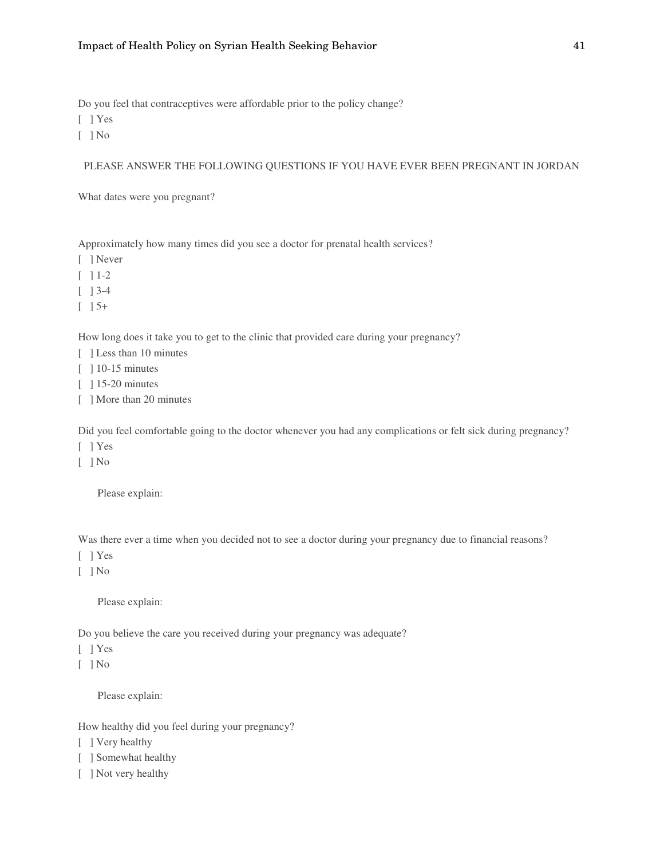Do you feel that contraceptives were affordable prior to the policy change?

- [ ] Yes
- $\lceil$  | No

#### PLEASE ANSWER THE FOLLOWING QUESTIONS IF YOU HAVE EVER BEEN PREGNANT IN JORDAN

What dates were you pregnant?

Approximately how many times did you see a doctor for prenatal health services?

- [ ] Never
- $[$   $]$  1-2
- [ ] 3-4
- $\lceil$   $\rceil$  5+

How long does it take you to get to the clinic that provided care during your pregnancy?

- [ ] Less than 10 minutes
- [ ] 10-15 minutes
- [ ] 15-20 minutes
- [ ] More than 20 minutes

Did you feel comfortable going to the doctor whenever you had any complications or felt sick during pregnancy?

- [ ] Yes
- [ ] No

Please explain:

Was there ever a time when you decided not to see a doctor during your pregnancy due to financial reasons?

- [ ] Yes
- [ ] No

Please explain:

Do you believe the care you received during your pregnancy was adequate?

- [ ] Yes
- $\lceil$  | No

Please explain:

How healthy did you feel during your pregnancy?

- [ ] Very healthy
- [ ] Somewhat healthy
- [ ] Not very healthy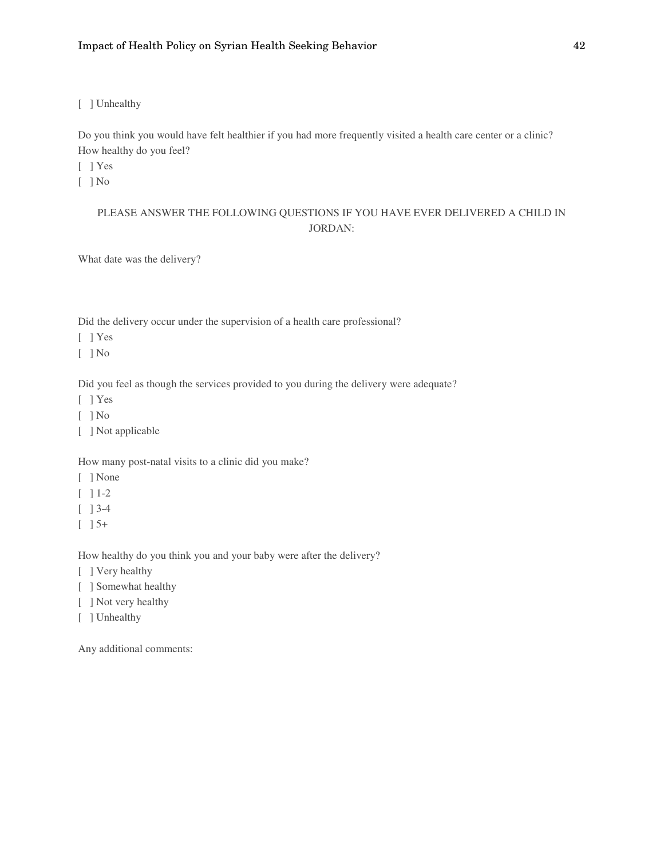[ ] Unhealthy

Do you think you would have felt healthier if you had more frequently visited a health care center or a clinic? How healthy do you feel?

[ ] Yes

[ ] No

### PLEASE ANSWER THE FOLLOWING QUESTIONS IF YOU HAVE EVER DELIVERED A CHILD IN JORDAN:

What date was the delivery?

Did the delivery occur under the supervision of a health care professional?

[ ] Yes

[ ] No

Did you feel as though the services provided to you during the delivery were adequate?

[ ] Yes

 $\lceil$   $\rceil$  No

[ ] Not applicable

How many post-natal visits to a clinic did you make?

- [ ] None
- $\lbrack$   $\rbrack$  1-2
- [ ] 3-4
- $\left[\begin{array}{c} \end{array}\right]$  5+

How healthy do you think you and your baby were after the delivery?

- [ ] Very healthy
- [ ] Somewhat healthy
- [ ] Not very healthy
- [ ] Unhealthy

Any additional comments: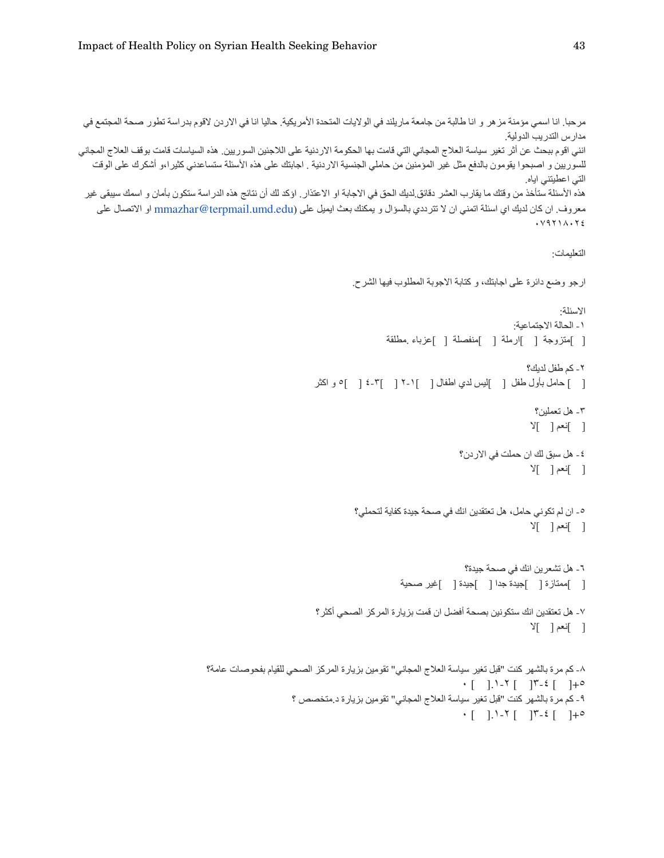```
مرحبا. انا اسمي مؤمنة مزهر و انا طالبة من جامعة ماريلند في الولايات المتحدة الأمريكية. حاليا انا في الاردن لاقوم بدراسة تطور صحة المجتمع في
                                                                                                              مدارس التدريب الدولية
انني اقوم ببحث عن أثر تغير سياسة العلاج المجاني التي قامت بها الحكومة الاردنية على اللاجئين السوريين. هذه السياسات قامت بوقف العلاج المجاني
   للسوريين و اصبحوا يقومون بالدفع مثل غير المؤمنين من حاملي الجنسية الاردنية <sub>.</sub> اجابتك على هذه الأسئلة ستساعدني كثيرا،و أشكرك على الوقت
                                                                                                                    التي اعطيتني اياه
هذه الأسئلة ستأخذ من وقتك ما يقارب العشر دقائق لديك الحق في الاجابة او الاعتذار . اؤكد لك أن نتائج هذه الدراسة ستكل سواح و اسمك سيبقى غير
    معروف ِ ان كان لديك اي اسئلة اتمني ان لا تترددي بالسؤال و بيمكنك بعث ايميل على mmazhar@terpmail.umd.edu او الاتصال على
                                                                                                                      ٠٧٩٢١٨٠٢٤
                                                                                                                          التعليمات:
                                                                      ار جو وضع دائرة على اجابتك، و كتابة الاجوبة المطلوب فيها الشرح.
                                                                                                                            الاسئلة:
                                                                                                                 ١ ـ الحالة الاجتماعية:
                                                                               [ ]متزوجة [ ]ارملة [ ]منفصلة [ ]عزباء مطلقة
                                                                                                                    ٢ ـ كم طفل لديك؟
                                                            [ ] حامل بأول طفل [ ]ليس لدى اطفال [ ]١-٢ [ ]-٤ [ ] و اكثر
                                                                                                                     ٣ - هل تعملين؟
                                                                                                                     [ ] f [ ]
                                                                                                   ٤ ـ هل سبق لك ان حملت في الار دن؟
                                                                                                                     [ ] | أنعم [ ] ] \angle٥ ـ ان لم تكوني حامل، هل تعتقدين انك في صحة جيدة كفاية لتحملي؟
                                                                                                                     [ ] f [ ]
                                                                                                    ٦ ـ هل تشعر ين انك في صحة جيدة؟
                                                                                   [ ]ممنازة [ ]جيدة جدا [ ]جيدة [ ]غير صحية
                                                             ٧- هل تعتقدين انك ستكونين بصحة أفضل ان قمت بزيارة المركز الصحي أكثر ؟
                                                                                                                     \mathbb{Y} [ ] \mathbb{Y}٨- كم مرة بالشهر كنت "قبل تغير سياسة العلاج المجاني" تقومين بزيارة المركز الصحي للقيام بفحوصـات عامة؟
                                                                                                   ٠ [ ].١-٢ [ ]٣-٤ [ ]+٥
                                                       ٩ ـ كم مرة بالشهر كنت "قبل تغير سياسة العلاج المجاني" تقومين بزيارة د متخصص ؟
                                                                                                   ٠ [ ].١-٢ [ ]٣-٤ [ ]+٥
```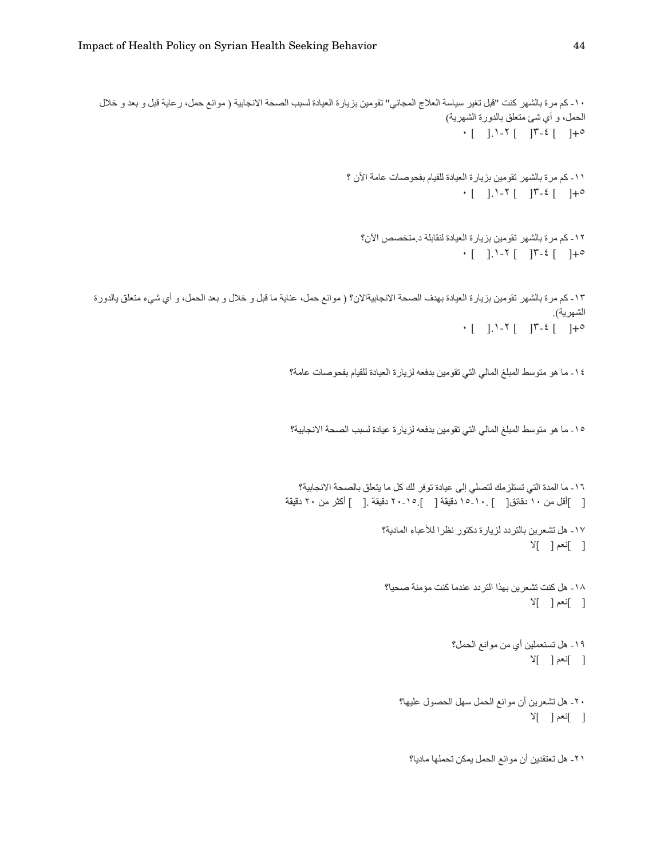```
١٠ ـ كم مرة بالشهر كنت "قبل تغير سياسة العلاج المجاني" تقومين بزيارة العيادة لسبب الصحة الانجابية ( موانع حمل، ر عاية قبل و بعد و خلال
                                                                                                    الحمل، و أي شئ متعلق بالدورة الشهرية)
                                                                                                         \cdot [ ]. \cdot \cdot [ ] \cdot \cdot \cdot [ ] \cdot \cdot١١- كم مرة بالشهر تقومين بزيارة العيادة للقيام بفحوصات عامة الآن ؟
                                                                                                         \cdot [ ]. \cdot \cdot [ ] \cdot \cdot \cdot [ ] \cdot \cdot١٢- كم مرة بالشهر تقومين بزيارة العيادة لنقابلة د متخصص الآن؟
                                                                                                         ٠ [ ].١-٢ [ ]٣-٤ [ ]+٥
١٣ ـ كم مرة بالشهر تقومين بزيارة العيادة بهدف الصحة الانجابيةالان؟ ( موانع حمل، عناية ما قبل و خلال و بعد الحمل، و أي شيء متعلق يالدورة
                                                                                                                                 الشهرية).
                                                                                                        \cdot [ ]. 1-7 [ ]۳-٤ [ ]+٥
                                                       ١٤ ـ ما هو متوسط المبلغ المالي التي تقومين بدفعه لزيارة العيادة للقيام بفحوصات عامة؟
                                                        ١٥- ما هو متوسط المبلغ المالي التي تقومين بدفعه لزيارة عيادة لسبب الصحة الانجابية؟
                                                          ١٦ ـ ما المدة التي تستلز مك لتصلي إلى عيادة توفر لك كل ما يتعلق بالصحة الانجابية؟
                                                      [ ]أقل من ١٠ دقائق[ ] .١٠_١٥ دقيقة [ ] .١٥_٢٠ دقيقة .[ ] أكثر من ٢٠ دقيقة
                                                                                  ١٧ ـ هل تشعرين بالتردد لزيارة دكتور نظرا للأعباء المادية؟
                                                                                                                            \mathbb{Y} [ ] \mathbb{Y}١٨- هل كنت تشعرين بهذا التردد عندما كنت مؤمنة صحيا؟
                                                                                                                            \mathbb{Y} [ ] \mathbb{Y}١٩- هل تستعملين أي من موانع الحمل؟
                                                                                                                           \mathbb{Y} [ ] آنعم \mathbb{Y}٢٠- هل تشعرين أن موانع الحمل سهل الحصول عليها؟
                                                                                                                            \mathbb{Y} [ ] \mathbb{Y}٢١ ـ هل تعتقدين أن موانع الحمل يمكن تحملها ماديا؟
```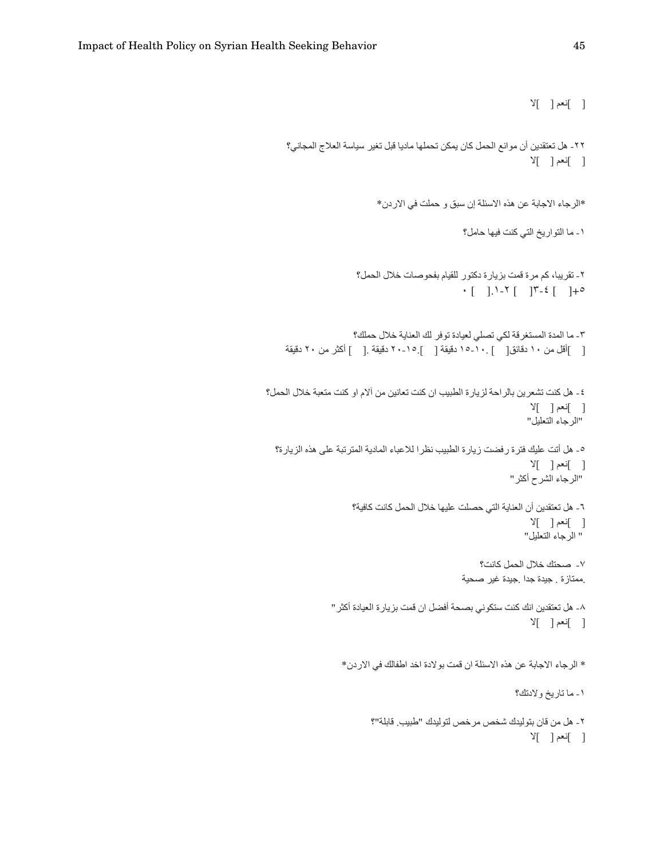```
Y ] إنعم [ ]٢٢- هل تعتقدين أن موانع الحمل كان يمكن تحملها ماديا قبل تغير سياسة العلاج المجاني؟
                                                                      Y[ ] \rightarrow [*الرجاء الاجابة عن هذه الاسئلة إن سبق و حملت في الاردن*
                                                     ١ ـ ما التواريخ التي كنت فيها حامل؟
                        ٢ ـ تقريبا، كم مرة قمت بزيارة دكتور للقيام بفحوصات خلال الحمل؟
                                                   ٠ [ ].١-٢ [ ]٣-٤ [ ]+٥
                       ٣- ما المدة المستغرقة لكي تصلي لعيادة توفر لك العناية خلال حملك؟
    [ ]أقل من ١٠ دقائق[ ] .١٠-١٥ دقيقة [ ] .١٥-٢٠ دقيقة .[ ] أكثر من ٢٠ دقيقة
٤ ـ هل كنت تشعرين بالر احة لزيار ة الطبيب ان كنت تعانين من ألام او كنت متعبة خلال الحمل؟
                                                                      [ ] f [ ]
                                                                     " الرجاء التعليل"
 ٥- هل أتت عليك فترة رفضت زيارة الطبيب نظرا للاعباء المادية المترتبة على هذه الزيارة؟
                                                                      Y[ ] إنعم [ ]
                                                                "الرجاء الشرح أكثر"
                      ٦ ـ هل تعتقدين أن العناية التي حصلت عليها خلال الحمل كانت كافية؟
                                                                      \mathbb{Y} [ ] \mathbb{Y} ]
                                                                    " الرجاء التعليل"
                                                        ٧- صحتك خلال الحمل كانت؟
                                                   .ممتازة . جيدة جدا .جيدة غير صحية
                 ٨- هل تعتقدين انك كنت ستكوني بصـحة أفضـل ان قمت بز يار ة العيادة أكثر "
                                                                      Y[ ] \rightarrow [* الرجاء الاجابة عن هذه الاسئلة ان قمت بولادة اخد اطفالك في الاردن*
                                                                  ١ ـ ما تاريخ ولادتك؟
                            ٢ ـ هل من قان بتوليدك شخص مر خص لتوليدك "طبيب. قابلة"؟
                                                                      Y[ ] \rightarrow [
```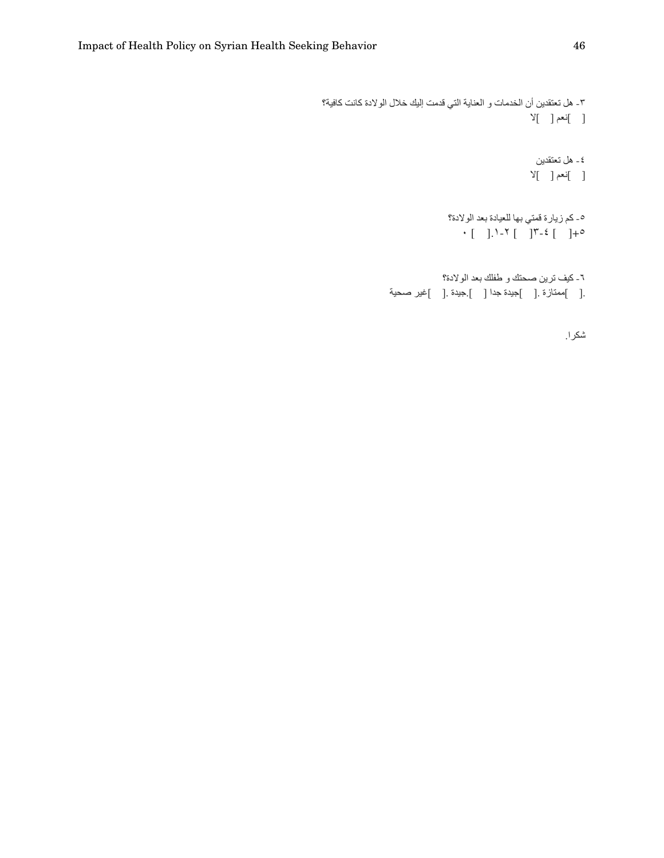```
٣- هل تعتقدين أن الخدمات و العناية التي قدمت إليك خلال الولادة كانت كافية؟
                                                           Y[-]نعم [-]٤ ـ هل تعتقدين
                                                           \mathbb{Y}[\quad]نعم [\quad]٥- كم زيارة قمتي بها للعيادة بعد الولادة؟
                                       \cdot [ ]. \cdot \cdot [ ] \cdot \cdot \cdot [ ] \cdot \cdot٦- كيف ترين صحتك و طفلك بعد الولادة؟
                 .[ ]ممنّازة .[ ]جيدة جدا [ ].جيدة .[ ]غير صحية
```
شكرا.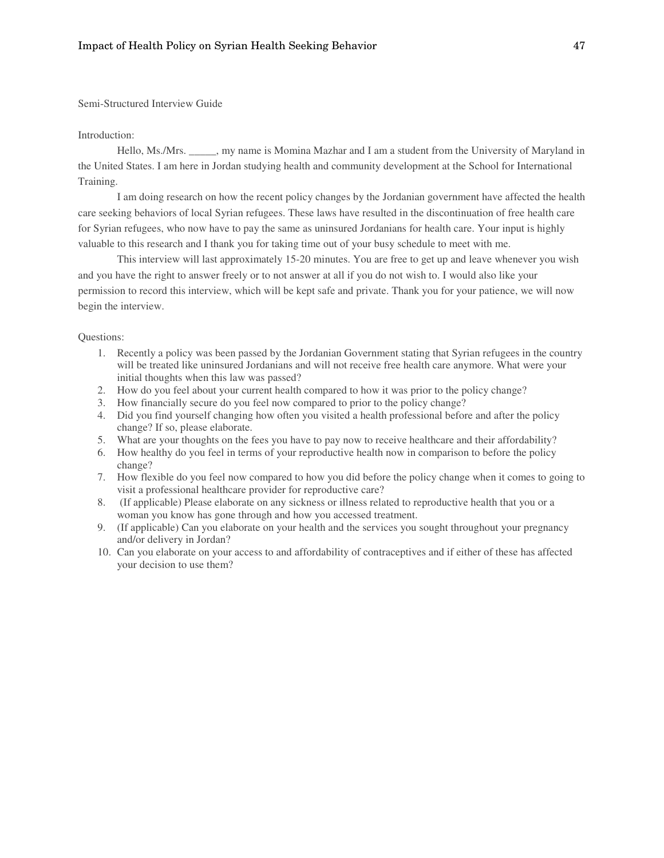Semi-Structured Interview Guide

#### Introduction:

Hello, Ms./Mrs. \_\_\_\_\_, my name is Momina Mazhar and I am a student from the University of Maryland in the United States. I am here in Jordan studying health and community development at the School for International Training.

I am doing research on how the recent policy changes by the Jordanian government have affected the health care seeking behaviors of local Syrian refugees. These laws have resulted in the discontinuation of free health care for Syrian refugees, who now have to pay the same as uninsured Jordanians for health care. Your input is highly valuable to this research and I thank you for taking time out of your busy schedule to meet with me.

This interview will last approximately 15-20 minutes. You are free to get up and leave whenever you wish and you have the right to answer freely or to not answer at all if you do not wish to. I would also like your permission to record this interview, which will be kept safe and private. Thank you for your patience, we will now begin the interview.

Questions:

- 1. Recently a policy was been passed by the Jordanian Government stating that Syrian refugees in the country will be treated like uninsured Jordanians and will not receive free health care anymore. What were your initial thoughts when this law was passed?
- 2. How do you feel about your current health compared to how it was prior to the policy change?
- 3. How financially secure do you feel now compared to prior to the policy change?
- 4. Did you find yourself changing how often you visited a health professional before and after the policy change? If so, please elaborate.
- 5. What are your thoughts on the fees you have to pay now to receive healthcare and their affordability?
- 6. How healthy do you feel in terms of your reproductive health now in comparison to before the policy change?
- 7. How flexible do you feel now compared to how you did before the policy change when it comes to going to visit a professional healthcare provider for reproductive care?
- 8. (If applicable) Please elaborate on any sickness or illness related to reproductive health that you or a woman you know has gone through and how you accessed treatment.
- 9. (If applicable) Can you elaborate on your health and the services you sought throughout your pregnancy and/or delivery in Jordan?
- 10. Can you elaborate on your access to and affordability of contraceptives and if either of these has affected your decision to use them?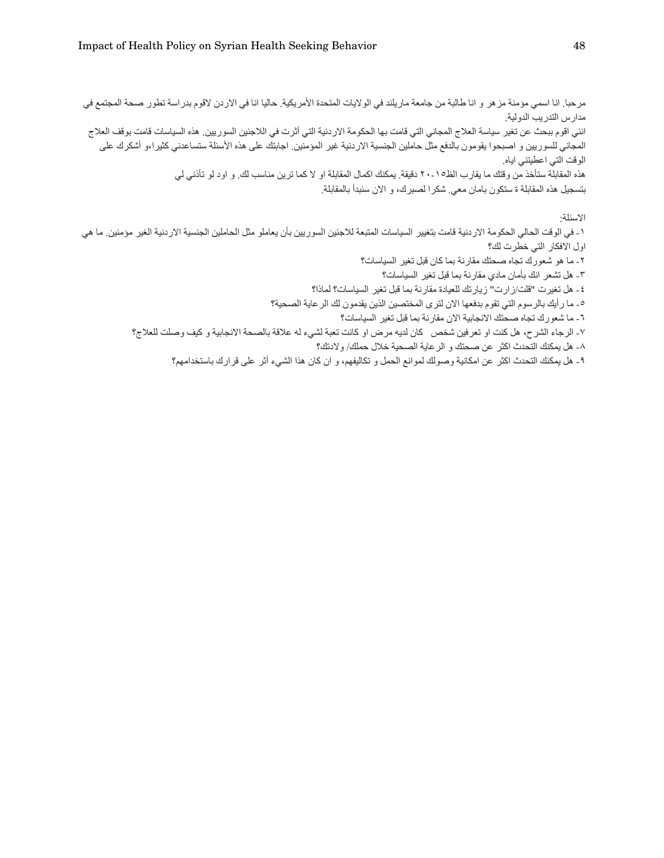مرحبا. انا اسمي مؤمنة مزهر و انا طالبة من جامعة ماريلند في الولايات المتحدة الأمريكية. حاليا انا في الاردن لاقوم بدراسة تطور صحة المجتمع في مدارس التدريب الدولية انني اقوم ببحث عن تغير سياسة العلاج المجاني التي قامت بها الحكومة الاردنية التي أثرت في اللاجئين السوريين. هذه السياسات قامت بوقف العلاج المجاني للسوريين و اصبحوا بقومون بالدفع مثل حاملين الجنسية الاردنية غير المؤمنين ِ اجابتك على هذه الأسئلة ستساعدني كثيراءو أشكرك على الوقت التي اعطيتني اياه هذه المقابلة ستأخذ من وقتك ما يقارب الظ01 - ٢٠ دقيقة. يمكنك اكمال المقابلة او لا كما ترين مناسب لك. و اود لو تأذني لي بتسجيل هذه المقابلة ة ستكون بامان معي شكرا لصبرك، و الان سنبدأ بالمقابلة الاسئلة·

١ ـ في الوقت الحالي الحكومة الاردنية قامت بتغيير السياسات المتبعة للاجئين السوريين بأن يعاملو مثل الحاملين الجنسية الاردنية الغير مؤمنين ما هي اول الافكار التي خطرت لك؟ ٢ ـ ما هو شعورك تجاه صحتك مقارنة بما كان قبل تغير السياسات؟

٣- هل تشعر انك بأمان مادي مقارنة بما قبل تغير السياسات؟

٤ ـ هل تغيرت "قلت/ز ارت" زيارتك للعيادة مقارنة بما قبل تغير السياسات؟ لماذا؟

٥- ما ر أيك بالرسوم التي تقوم بدفعها الان لترى المختصين الذين يقدمون لك الر عاية الصحية؟

٦ ـ ما شعورك تجاه صحتك الانجابية الان مقارنة بما قبل تغير السياسات؟

٧- الرجاء الشرح، هل كنت او تعرفين شخص كان لديه مرض او كانت تعبة لشيء له علاقة بالصحة الانجابية و كيف وصلت للعلاج؟

٨- هل يمكنك التحدث اكثر عن صحتك و الر عاية الصحية خلال حملك/ ولادتك؟

٩ ـ هل يمكنك التحدث اكثر عن امكانية وصولك لموانع الحمل و تكاليفهم، و ان كان هذا الشيء أثر على قر ارك باستخدامهم؟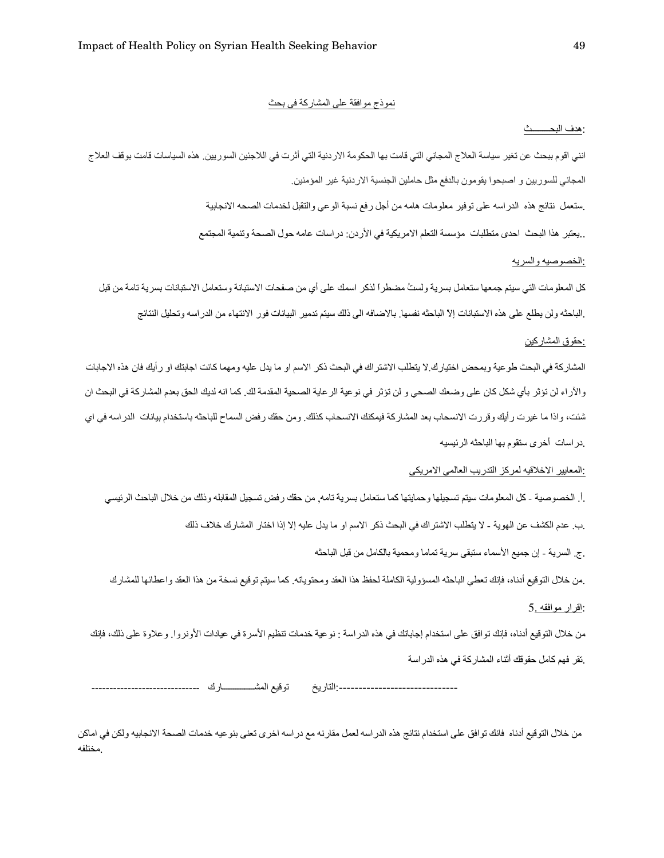#### نموذج موافقة على المشاركة في بحث

#### : هدف البحـــــــث

انني اقوم ببحث عن تغير سياسة العلاج المجاني التي قامت بها الحكومة الاردنية التي أثرت في اللاجئين السوريين. هذه السياسات قامت بوقف العلاج المجاني للسوريين و اصبحوا يقومون بالدفع مثل حاملين الجنسية الاردنية غير المؤمنين

ـ ستعمل نتائج هذه الدر اسه على توفير معلومات هامه من أجل رفع نسبة الوعي والتقبل لخدمات الصحه الانجابية .

ـ يعتبر هذا البحث احدى منطلبات مؤسسة التعلم الامريكية في الأردن: در اسات عامه حول الصحة وتنمية المجتمع .

#### :الخصوصيه والسريه

كل المعلومات التي سيتم جمعها ستعامل بسرية ولستُ مضطراً لذكر اسمك على أي من صفحات الاستبانة وستعامل الاستبانات بسرية تامة من قبل .الباحثه ولن يطلع على هذه الاستبانات إلا الباحثه نفسها. بالاضافه الى ذلك سيتم تدمير البيانات فور الانتهاء من الدراسه وتحليل النتائج

### :حقوق المشاركين

المشاركة في البحث طوعية وبمحض اختيارك لا يتطلب الاشتراك في البحث ذكر الاسم او ما يدل عليه ومهما كانت اجابتك او رأيك فان هذه الاجابات والأراء لن تؤثر بأي شكل كان على وضعك الصحي و لن تؤثر في نوعية الرعاية الصحية المقدمة لك. كما انه لديك الحق بعدم المشاركة في البحث ان شنت، واذا ما غيرت رأيك وقررت الانسحاب بعد المشاركة فيمكنك الانسحاب كذلك. ومن حقك رفض السماح للباحثه باستخدام بيانات الدراسه في اي دراسات أخرى ستقوم بها الباحثه الرئيسيه.

#### <u>:المعايير الاخلاقيه لمركز التدريب العالمي الامريكي</u>

.أ الخصوصية - كل المعلومات سيتم تسجيلها وحمايتها كما ستعامل بسرية تامه<sub>,</sub> من حقك رفض تسجيل المقابله وذلك من خلال الباحث الرئيسي

.ب. عدم الكشف عن الهوية - لا يتطلب الاشتراك في البحث ذكر الاسم او ما يدل عليه إلا إذا اختار المشارك خلاف ذلك

ج. السرية - إن جميع الأسماء ستبقى سرية تماما ومحمية بالكامل من قبل الباحثه

ـ من خلال التوقيع أدناه، فإنك تعطي الباحثه المسؤولية الكاملة لحفظ هذا العقد ومحتوياته كما سيتم توقيع نسخة من هذا العقد واعطائها للمشارك

### :اقرار موافقه .5

من خلال التوقيع أدناه، فإنك توافق على استخدام إجاباتك في هذه الدر اسة : نو عية خدمات تنظيم الأسرة في عيادات الأونروا ِ وعلاوة على ذلك، فإنك .تقر فهم كامل حقوقك أثناء المشاركة في هذه الدراسة

:------------------------------ا"ر} ,(.# اNــــــــــــــرك ------------------------------

من خلال التوقيع أدناه فانك تو افق على استخدام نتائج هذه الدر اسه لمر عدد الله باخر عن تعني بنو عيه خدمات الصحة الانجابيه ولكن في اماكن مختلفه.